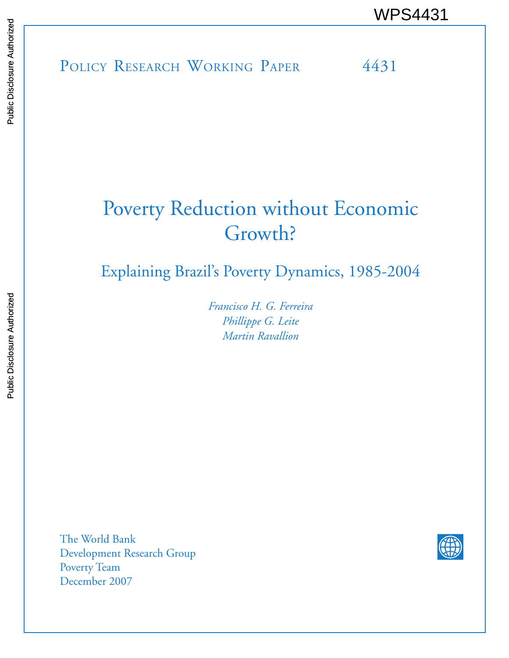POLICY RESEARCH WORKING PAPER 4431 WPS4431<br>
Media<br>
Media<br>
POLICY RESEARCH WORKING PAPER<br>
POLICY RESEARCH WORKING PAPER<br>
POLICY RESEARCH WORKING PAPER<br>
PAPER

# Poverty Reduction without Economic Growth?

Explaining Brazil's Poverty Dynamics, 1985-2004

*Francisco H. G. Ferreira Phillippe G. Leite Martin Ravallion*

The World Bank Development Research Group Poverty Team December 2007

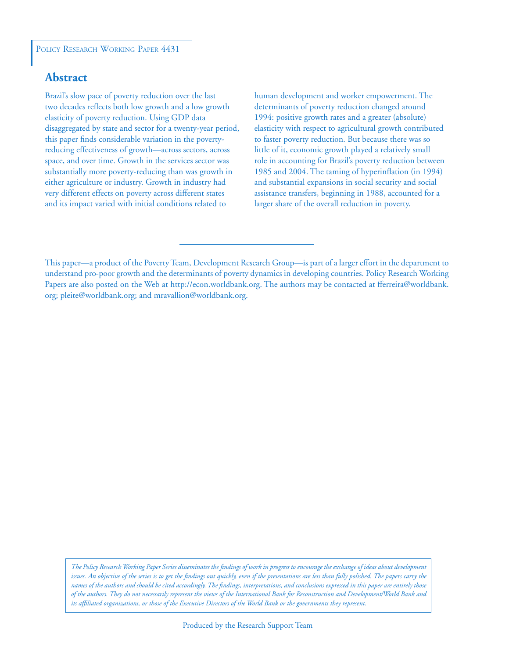### **Abstract**

Brazil's slow pace of poverty reduction over the last two decades reflects both low growth and a low growth elasticity of poverty reduction. Using GDP data disaggregated by state and sector for a twenty-year period, this paper finds considerable variation in the povertyreducing effectiveness of growth—across sectors, across space, and over time. Growth in the services sector was substantially more poverty-reducing than was growth in either agriculture or industry. Growth in industry had very different effects on poverty across different states and its impact varied with initial conditions related to

human development and worker empowerment. The determinants of poverty reduction changed around 1994: positive growth rates and a greater (absolute) elasticity with respect to agricultural growth contributed to faster poverty reduction. But because there was so little of it, economic growth played a relatively small role in accounting for Brazil's poverty reduction between 1985 and 2004. The taming of hyperinflation (in 1994) and substantial expansions in social security and social assistance transfers, beginning in 1988, accounted for a larger share of the overall reduction in poverty.

*The Policy Research Working Paper Series disseminates the findings of work in progress to encourage the exchange of ideas about development*  issues. An objective of the series is to get the findings out quickly, even if the presentations are less than fully polished. The papers carry the *names of the authors and should be cited accordingly. The findings, interpretations, and conclusions expressed in this paper are entirely those of the authors. They do not necessarily represent the views of the International Bank for Reconstruction and Development/World Bank and its affiliated organizations, or those of the Executive Directors of the World Bank or the governments they represent.*

This paper—a product of the Poverty Team, Development Research Group—is part of a larger effort in the department to understand pro-poor growth and the determinants of poverty dynamics in developing countries. Policy Research Working Papers are also posted on the Web at http://econ.worldbank.org. The authors may be contacted at fferreira@worldbank. org; pleite@worldbank.org; and mravallion@worldbank.org.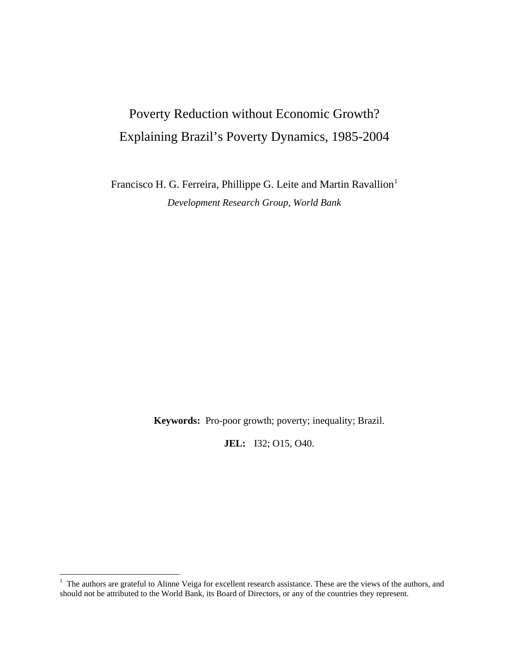## Poverty Reduction without Economic Growth? Explaining Brazil's Poverty Dynamics, 1985-2004

Francisco H. G. Ferreira, Phillippe G. Leite and Martin Ravallion<sup>[1](#page-2-0)</sup> *Development Research Group, World Bank* 

**Keywords:** Pro-poor growth; poverty; inequality; Brazil.

**JEL:** I32; O15, O40.

<span id="page-2-0"></span><sup>&</sup>lt;sup>1</sup> The authors are grateful to Alinne Veiga for excellent research assistance. These are the views of the authors, and should not be attributed to the World Bank, its Board of Directors, or any of the countries they represent.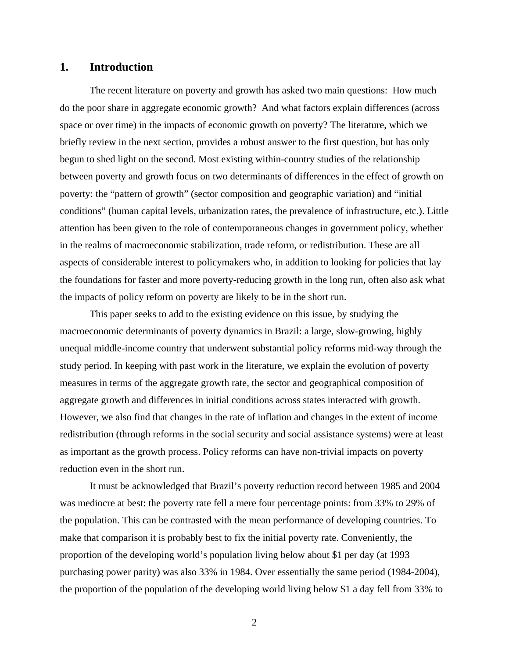### **1. Introduction**

The recent literature on poverty and growth has asked two main questions: How much do the poor share in aggregate economic growth? And what factors explain differences (across space or over time) in the impacts of economic growth on poverty? The literature, which we briefly review in the next section, provides a robust answer to the first question, but has only begun to shed light on the second. Most existing within-country studies of the relationship between poverty and growth focus on two determinants of differences in the effect of growth on poverty: the "pattern of growth" (sector composition and geographic variation) and "initial conditions" (human capital levels, urbanization rates, the prevalence of infrastructure, etc.). Little attention has been given to the role of contemporaneous changes in government policy, whether in the realms of macroeconomic stabilization, trade reform, or redistribution. These are all aspects of considerable interest to policymakers who, in addition to looking for policies that lay the foundations for faster and more poverty-reducing growth in the long run, often also ask what the impacts of policy reform on poverty are likely to be in the short run.

This paper seeks to add to the existing evidence on this issue, by studying the macroeconomic determinants of poverty dynamics in Brazil: a large, slow-growing, highly unequal middle-income country that underwent substantial policy reforms mid-way through the study period. In keeping with past work in the literature, we explain the evolution of poverty measures in terms of the aggregate growth rate, the sector and geographical composition of aggregate growth and differences in initial conditions across states interacted with growth. However, we also find that changes in the rate of inflation and changes in the extent of income redistribution (through reforms in the social security and social assistance systems) were at least as important as the growth process. Policy reforms can have non-trivial impacts on poverty reduction even in the short run.

It must be acknowledged that Brazil's poverty reduction record between 1985 and 2004 was mediocre at best: the poverty rate fell a mere four percentage points: from 33% to 29% of the population. This can be contrasted with the mean performance of developing countries. To make that comparison it is probably best to fix the initial poverty rate. Conveniently, the proportion of the developing world's population living below about \$1 per day (at 1993 purchasing power parity) was also 33% in 1984. Over essentially the same period (1984-2004), the proportion of the population of the developing world living below \$1 a day fell from 33% to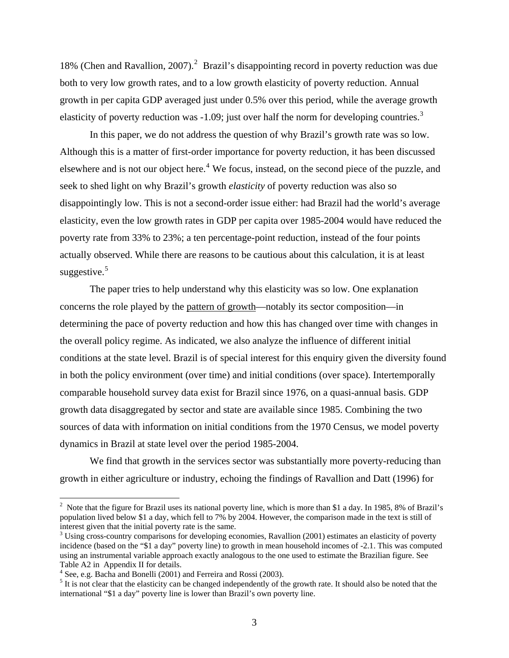18% (Chen and Ravallion, [2](#page-4-0)007).<sup>2</sup> Brazil's disappointing record in poverty reduction was due both to very low growth rates, and to a low growth elasticity of poverty reduction. Annual growth in per capita GDP averaged just under 0.5% over this period, while the average growth elasticity of poverty reduction was  $-1.09$ ; just over half the norm for developing countries.<sup>[3](#page-4-1)</sup>

In this paper, we do not address the question of why Brazil's growth rate was so low. Although this is a matter of first-order importance for poverty reduction, it has been discussed elsewhere and is not our object here.<sup>[4](#page-4-2)</sup> We focus, instead, on the second piece of the puzzle, and seek to shed light on why Brazil's growth *elasticity* of poverty reduction was also so disappointingly low. This is not a second-order issue either: had Brazil had the world's average elasticity, even the low growth rates in GDP per capita over 1985-2004 would have reduced the poverty rate from 33% to 23%; a ten percentage-point reduction, instead of the four points actually observed. While there are reasons to be cautious about this calculation, it is at least suggestive.<sup>[5](#page-4-3)</sup>

The paper tries to help understand why this elasticity was so low. One explanation concerns the role played by the pattern of growth—notably its sector composition—in determining the pace of poverty reduction and how this has changed over time with changes in the overall policy regime. As indicated, we also analyze the influence of different initial conditions at the state level. Brazil is of special interest for this enquiry given the diversity found in both the policy environment (over time) and initial conditions (over space). Intertemporally comparable household survey data exist for Brazil since 1976, on a quasi-annual basis. GDP growth data disaggregated by sector and state are available since 1985. Combining the two sources of data with information on initial conditions from the 1970 Census, we model poverty dynamics in Brazil at state level over the period 1985-2004.

We find that growth in the services sector was substantially more poverty-reducing than growth in either agriculture or industry, echoing the findings of Ravallion and Datt (1996) for

<span id="page-4-0"></span><sup>&</sup>lt;sup>2</sup> Note that the figure for Brazil uses its national poverty line, which is more than \$1 a day. In 1985, 8% of Brazil's population lived below \$1 a day, which fell to 7% by 2004. However, the comparison made in the text is still of interest given that the initial poverty rate is the same.

<span id="page-4-1"></span><sup>&</sup>lt;sup>3</sup> Using cross-country comparisons for developing economies, Ravallion (2001) estimates an elasticity of poverty incidence (based on the "\$1 a day" poverty line) to growth in mean household incomes of -2.1. This was computed using an instrumental variable approach exactly analogous to the one used to estimate the Brazilian figure. See Table A2 in Appendix II for details.

<span id="page-4-2"></span><sup>&</sup>lt;sup>4</sup> See, e.g. Bacha and Bonelli (2001) and Ferreira and Rossi (2003).

<span id="page-4-3"></span> $<sup>5</sup>$  It is not clear that the elasticity can be changed independently of the growth rate. It should also be noted that the</sup> international "\$1 a day" poverty line is lower than Brazil's own poverty line.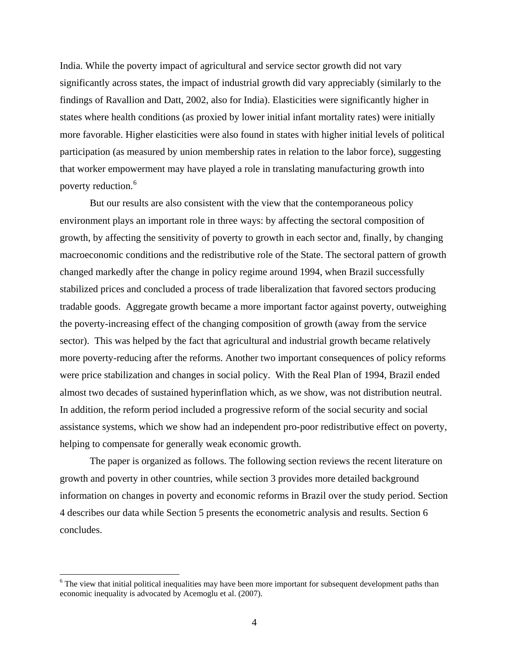India. While the poverty impact of agricultural and service sector growth did not vary significantly across states, the impact of industrial growth did vary appreciably (similarly to the findings of Ravallion and Datt, 2002, also for India). Elasticities were significantly higher in states where health conditions (as proxied by lower initial infant mortality rates) were initially more favorable. Higher elasticities were also found in states with higher initial levels of political participation (as measured by union membership rates in relation to the labor force), suggesting that worker empowerment may have played a role in translating manufacturing growth into poverty reduction.<sup>[6](#page-5-0)</sup>

But our results are also consistent with the view that the contemporaneous policy environment plays an important role in three ways: by affecting the sectoral composition of growth, by affecting the sensitivity of poverty to growth in each sector and, finally, by changing macroeconomic conditions and the redistributive role of the State. The sectoral pattern of growth changed markedly after the change in policy regime around 1994, when Brazil successfully stabilized prices and concluded a process of trade liberalization that favored sectors producing tradable goods. Aggregate growth became a more important factor against poverty, outweighing the poverty-increasing effect of the changing composition of growth (away from the service sector). This was helped by the fact that agricultural and industrial growth became relatively more poverty-reducing after the reforms. Another two important consequences of policy reforms were price stabilization and changes in social policy. With the Real Plan of 1994, Brazil ended almost two decades of sustained hyperinflation which, as we show, was not distribution neutral. In addition, the reform period included a progressive reform of the social security and social assistance systems, which we show had an independent pro-poor redistributive effect on poverty, helping to compensate for generally weak economic growth.

The paper is organized as follows. The following section reviews the recent literature on growth and poverty in other countries, while section 3 provides more detailed background information on changes in poverty and economic reforms in Brazil over the study period. Section 4 describes our data while Section 5 presents the econometric analysis and results. Section 6 concludes.

 $\overline{a}$ 

<span id="page-5-0"></span><sup>&</sup>lt;sup>6</sup> The view that initial political inequalities may have been more important for subsequent development paths than economic inequality is advocated by Acemoglu et al. (2007).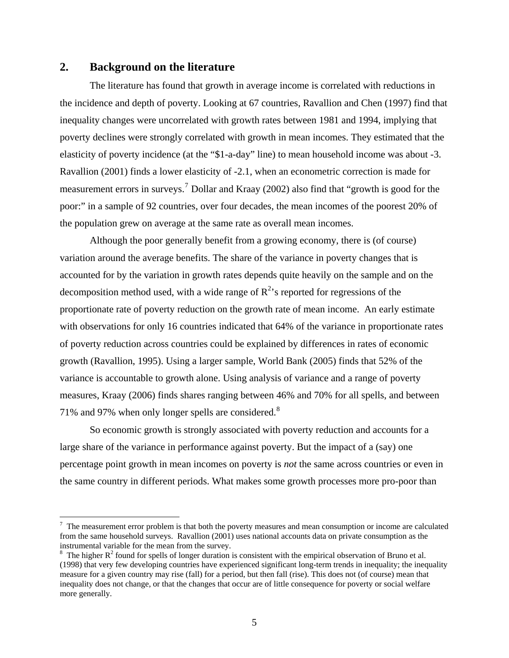### **2. Background on the literature**

1

The literature has found that growth in average income is correlated with reductions in the incidence and depth of poverty. Looking at 67 countries, Ravallion and Chen (1997) find that inequality changes were uncorrelated with growth rates between 1981 and 1994, implying that poverty declines were strongly correlated with growth in mean incomes. They estimated that the elasticity of poverty incidence (at the "\$1-a-day" line) to mean household income was about -3. Ravallion (2001) finds a lower elasticity of -2.1, when an econometric correction is made for measurement errors in surveys.<sup>[7](#page-6-0)</sup> Dollar and Kraay (2002) also find that "growth is good for the poor:" in a sample of 92 countries, over four decades, the mean incomes of the poorest 20% of the population grew on average at the same rate as overall mean incomes.

Although the poor generally benefit from a growing economy, there is (of course) variation around the average benefits. The share of the variance in poverty changes that is accounted for by the variation in growth rates depends quite heavily on the sample and on the decomposition method used, with a wide range of  $R^2$ 's reported for regressions of the proportionate rate of poverty reduction on the growth rate of mean income. An early estimate with observations for only 16 countries indicated that 64% of the variance in proportionate rates of poverty reduction across countries could be explained by differences in rates of economic growth (Ravallion, 1995). Using a larger sample, World Bank (2005) finds that 52% of the variance is accountable to growth alone. Using analysis of variance and a range of poverty measures, Kraay (2006) finds shares ranging between 46% and 70% for all spells, and between 71% and 97% when only longer spells are considered. $8$ 

 So economic growth is strongly associated with poverty reduction and accounts for a large share of the variance in performance against poverty. But the impact of a (say) one percentage point growth in mean incomes on poverty is *not* the same across countries or even in the same country in different periods. What makes some growth processes more pro-poor than

<span id="page-6-0"></span> $<sup>7</sup>$  The measurement error problem is that both the poverty measures and mean consumption or income are calculated</sup> from the same household surveys. Ravallion (2001) uses national accounts data on private consumption as the instrumental variable for the mean from the survey.

<span id="page-6-1"></span>The higher  $R^2$  found for spells of longer duration is consistent with the empirical observation of Bruno et al. (1998) that very few developing countries have experienced significant long-term trends in inequality; the inequality measure for a given country may rise (fall) for a period, but then fall (rise). This does not (of course) mean that inequality does not change, or that the changes that occur are of little consequence for poverty or social welfare more generally.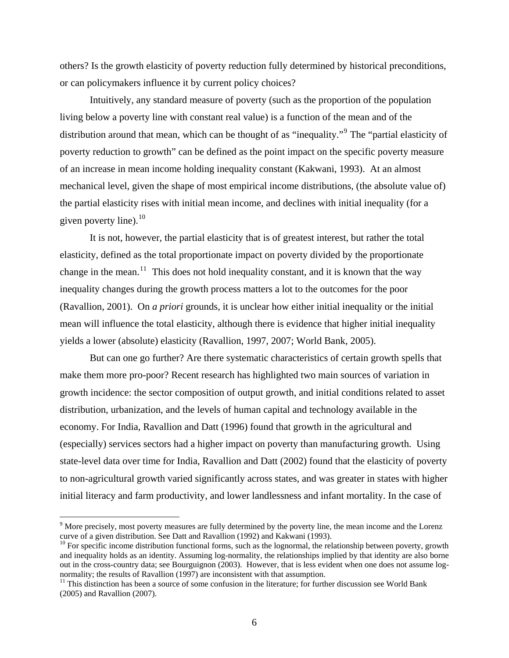others? Is the growth elasticity of poverty reduction fully determined by historical preconditions, or can policymakers influence it by current policy choices?

Intuitively, any standard measure of poverty (such as the proportion of the population living below a poverty line with constant real value) is a function of the mean and of the distribution around that mean, which can be thought of as "inequality."<sup>[9](#page-7-0)</sup> The "partial elasticity of poverty reduction to growth" can be defined as the point impact on the specific poverty measure of an increase in mean income holding inequality constant (Kakwani, 1993). At an almost mechanical level, given the shape of most empirical income distributions, (the absolute value of) the partial elasticity rises with initial mean income, and declines with initial inequality (for a given poverty line). $10$ 

It is not, however, the partial elasticity that is of greatest interest, but rather the total elasticity, defined as the total proportionate impact on poverty divided by the proportionate change in the mean.<sup>[11](#page-7-2)</sup> This does not hold inequality constant, and it is known that the way inequality changes during the growth process matters a lot to the outcomes for the poor (Ravallion, 2001). On *a priori* grounds, it is unclear how either initial inequality or the initial mean will influence the total elasticity, although there is evidence that higher initial inequality yields a lower (absolute) elasticity (Ravallion, 1997, 2007; World Bank, 2005).

But can one go further? Are there systematic characteristics of certain growth spells that make them more pro-poor? Recent research has highlighted two main sources of variation in growth incidence: the sector composition of output growth, and initial conditions related to asset distribution, urbanization, and the levels of human capital and technology available in the economy. For India, Ravallion and Datt (1996) found that growth in the agricultural and (especially) services sectors had a higher impact on poverty than manufacturing growth. Using state-level data over time for India, Ravallion and Datt (2002) found that the elasticity of poverty to non-agricultural growth varied significantly across states, and was greater in states with higher initial literacy and farm productivity, and lower landlessness and infant mortality. In the case of

<span id="page-7-0"></span><sup>&</sup>lt;sup>9</sup> More precisely, most poverty measures are fully determined by the poverty line, the mean income and the Lorenz curve of a given distribution. See Datt and Ravallion (1992) and Kakwani (1993).

<span id="page-7-1"></span> $10$  For specific income distribution functional forms, such as the lognormal, the relationship between poverty, growth and inequality holds as an identity. Assuming log-normality, the relationships implied by that identity are also borne out in the cross-country data; see Bourguignon (2003). However, that is less evident when one does not assume lognormality; the results of Ravallion (1997) are inconsistent with that assumption.

<span id="page-7-2"></span> $11$  This distinction has been a source of some confusion in the literature; for further discussion see World Bank (2005) and Ravallion (2007).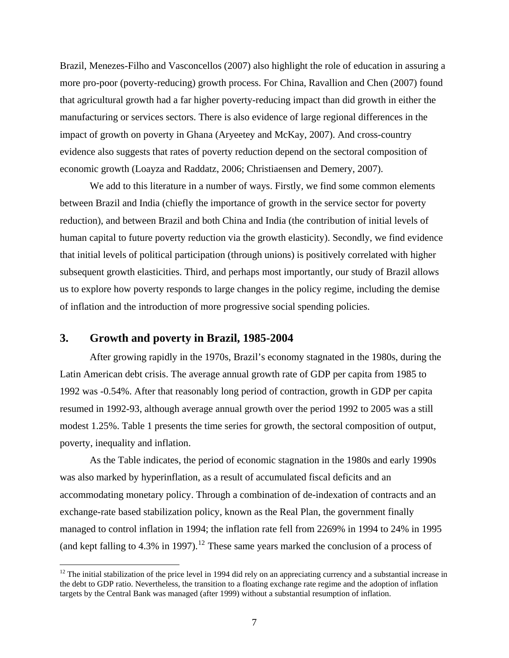<span id="page-8-0"></span>Brazil, Menezes-Filho and Vasconcellos (2007) also highlight the role of education in assuring a more pro-poor (poverty-reducing) growth process. For China, Ravallion and Chen (2007) found that agricultural growth had a far higher poverty-reducing impact than did growth in either the manufacturing or services sectors. There is also evidence of large regional differences in the impact of growth on poverty in Ghana (Aryeetey and McKay, 2007). And cross-country evidence also suggests that rates of poverty reduction depend on the sectoral composition of economic growth (Loayza and Raddatz, 2006; Christiaensen and Demery, 2007).

We add to this literature in a number of ways. Firstly, we find some common elements between Brazil and India (chiefly the importance of growth in the service sector for poverty reduction), and between Brazil and both China and India (the contribution of initial levels of human capital to future poverty reduction via the growth elasticity). Secondly, we find evidence that initial levels of political participation (through unions) is positively correlated with higher subsequent growth elasticities. Third, and perhaps most importantly, our study of Brazil allows us to explore how poverty responds to large changes in the policy regime, including the demise of inflation and the introduction of more progressive social spending policies.

### **3. Growth and poverty in Brazil, 1985-2004**

 $\overline{a}$ 

After growing rapidly in the 1970s, Brazil's economy stagnated in the 1980s, during the Latin American debt crisis. The average annual growth rate of GDP per capita from 1985 to 1992 was -0.54%. After that reasonably long period of contraction, growth in GDP per capita resumed in 1992-93, although average annual growth over the period 1992 to 2005 was a still modest 1.25%. Table 1 presents the time series for growth, the sectoral composition of output, poverty, inequality and inflation.

As the Table indicates, the period of economic stagnation in the 1980s and early 1990s was also marked by hyperinflation, as a result of accumulated fiscal deficits and an accommodating monetary policy. Through a combination of de-indexation of contracts and an exchange-rate based stabilization policy, known as the Real Plan, the government finally managed to control inflation in 1994; the inflation rate fell from 2269% in 1994 to 24% in 1995 (and kept falling to 4.3% in 1997).<sup>[12](#page-8-0)</sup> These same years marked the conclusion of a process of

 $12$  The initial stabilization of the price level in 1994 did rely on an appreciating currency and a substantial increase in the debt to GDP ratio. Nevertheless, the transition to a floating exchange rate regime and the adoption of inflation targets by the Central Bank was managed (after 1999) without a substantial resumption of inflation.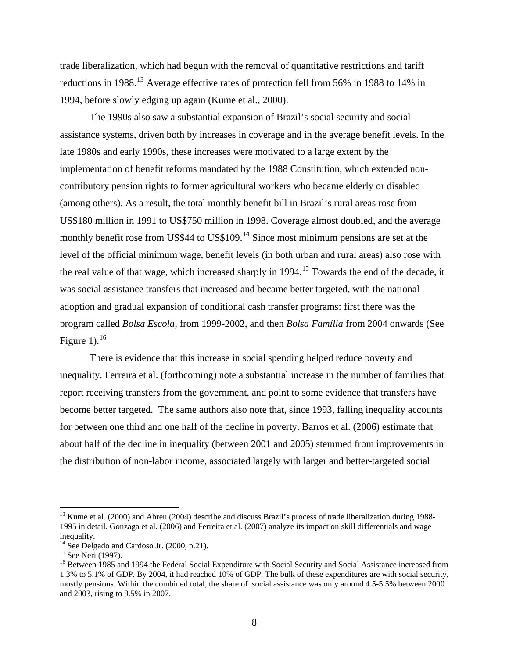<span id="page-9-0"></span>trade liberalization, which had begun with the removal of quantitative restrictions and tariff reductions in 1988.<sup>[13](#page-9-0)</sup> Average effective rates of protection fell from 56% in 1988 to 14% in 1994, before slowly edging up again (Kume et al., 2000).

The 1990s also saw a substantial expansion of Brazil's social security and social assistance systems, driven both by increases in coverage and in the average benefit levels. In the late 1980s and early 1990s, these increases were motivated to a large extent by the implementation of benefit reforms mandated by the 1988 Constitution, which extended noncontributory pension rights to former agricultural workers who became elderly or disabled (among others). As a result, the total monthly benefit bill in Brazil's rural areas rose from US\$180 million in 1991 to US\$750 million in 1998. Coverage almost doubled, and the average monthly benefit rose from US\$44 to US\$109.<sup>[14](#page-9-0)</sup> Since most minimum pensions are set at the level of the official minimum wage, benefit levels (in both urban and rural areas) also rose with the real value of that wage, which increased sharply in 1994.<sup>[15](#page-9-0)</sup> Towards the end of the decade, it program called *Bolsa Escola*, from 1999-2002, and then *Bolsa Família* from 2004 onwards (See Figure 1). $^{16}$  $^{16}$  $^{16}$ was social assistance transfers that increased and became better targeted, with the national adoption and gradual expansion of conditional cash transfer programs: first there was the

inequality. Ferreira et al. (forthcoming) note a substantial increase in the number of families that become better targeted. The same authors also note that, since 1993, falling inequality accounts about half of the decline in inequality (between 2001 and 2005) stemmed from improvements in There is evidence that this increase in social spending helped reduce poverty and report receiving transfers from the government, and point to some evidence that transfers have for between one third and one half of the decline in poverty. Barros et al. (2006) estimate that the distribution of non-labor income, associated largely with larger and better-targeted social

<sup>&</sup>lt;sup>13</sup> Kume et al. (2000) and Abreu (2004) describe and discuss Brazil's process of trade liberalization during 1988-1995 in detail. Gonzaga et al. (2006) and Ferreira et al. (2007) analyze its impact on skill differentials and wage inequality.

 $14$  See Delgado and Cardoso Jr. (2000, p.21).

<sup>&</sup>lt;sup>15</sup> See Neri (1997).

mostly pensions. Within the combined total, the share of social assistance was only around 4.5-5.5% between 2000 <sup>16</sup> Between 1985 and 1994 the Federal Social Expenditure with Social Security and Social Assistance increased from 1.3% to 5.1% of GDP. By 2004, it had reached 10% of GDP. The bulk of these expenditures are with social security, and 2003, rising to 9.5% in 2007.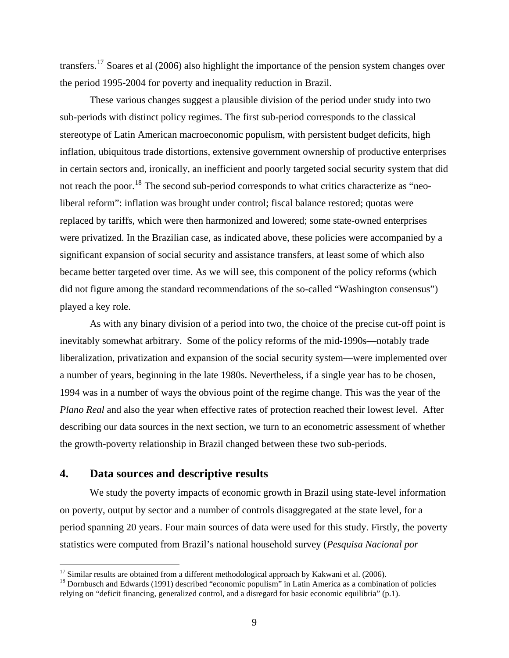<span id="page-10-0"></span>transfers.<sup>[17](#page-10-0)</sup> Soares et al (2006) also highlight the importance of the pension system changes over the period 1995-2004 for poverty and inequality reduction in Brazil.

inflation, ubiquitous trade distortions, extensive government ownership of productive enterprises became better targeted over time. As we will see, this component of the policy reforms (which did not figure among the standard recommendations of the so-called "Washington consensus") These various changes suggest a plausible division of the period under study into two sub-periods with distinct policy regimes. The first sub-period corresponds to the classical stereotype of Latin American macroeconomic populism, with persistent budget deficits, high in certain sectors and, ironically, an inefficient and poorly targeted social security system that did not reach the poor.<sup>[18](#page-10-0)</sup> The second sub-period corresponds to what critics characterize as "neoliberal reform": inflation was brought under control; fiscal balance restored; quotas were replaced by tariffs, which were then harmonized and lowered; some state-owned enterprises were privatized. In the Brazilian case, as indicated above, these policies were accompanied by a significant expansion of social security and assistance transfers, at least some of which also played a key role.

liberalization, privatization and expansion of the social security system—were implemented over Plano Real and also the year when effective rates of protection reached their lowest level. After describing our data sources in the next section, we turn to an econometric assessment of whether the growth-poverty relationship in Brazil changed between these two sub-periods. As with any binary division of a period into two, the choice of the precise cut-off point is inevitably somewhat arbitrary. Some of the policy reforms of the mid-1990s—notably trade a number of years, beginning in the late 1980s. Nevertheless, if a single year has to be chosen, 1994 was in a number of ways the obvious point of the regime change. This was the year of the

### **4. Data sources and descriptive results**

 $\overline{a}$ 

 We study the poverty impacts of economic growth in Brazil using state-level information on poverty, output by sector and a number of controls disaggregated at the state level, for a period spanning 20 years. Four main sources of data were used for this study. Firstly, the poverty statistics were computed from Brazil's national household survey (*Pesquisa Nacional por* 

<sup>&</sup>lt;sup>17</sup> Similar results are obtained from a different methodological approach by Kakwani et al. (2006).<br><sup>18</sup> Dornbusch and Edwards (1991) described "economic populism" in Latin America as a combination of policies relying on "deficit financing, generalized control, and a disregard for basic economic equilibria" (p.1).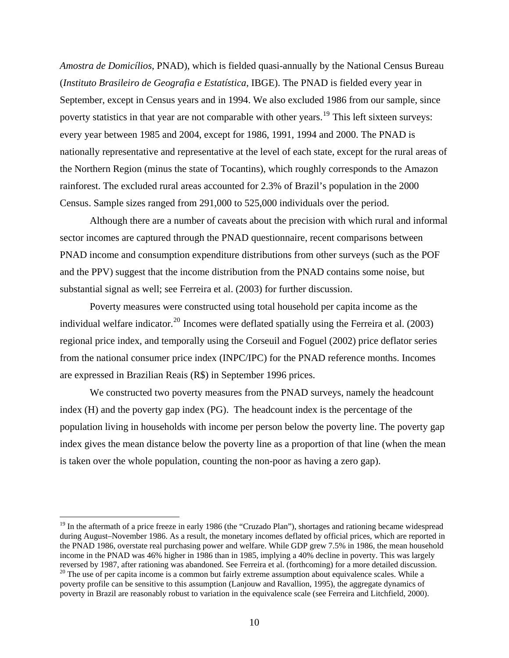<span id="page-11-0"></span>*Amostra de Domicílios*, PNAD), which is fielded quasi-annually by the National Census Burea u (*Instituto Brasileiro de Geografia e Estatística*, IBGE). The PNAD is fielded every year in September, except in Census years and in 1994. We also excluded 1986 from our sample, since poverty statistics in that year are not comparable with other years.<sup>[19](#page-11-0)</sup> This left sixteen surveys: nationally representative and representative at the level of each state, except for the rural areas of every year between 1985 and 2004, except for 1986, 1991, 1994 and 2000. The PNAD is the Northern Region (minus the state of Tocantins), which roughly corresponds to the Amazon rainforest. The excluded rural areas accounted for 2.3% of Brazil's population in the 2000 Census. Sample sizes ranged from 291,000 to 525,000 individuals over the period.

Although there are a number of caveats about the precision with which rural and informal sector incomes are captured through the PNAD questionnaire, recent comparisons between PNAD income and consumption expenditure distributions from other surveys (such as the POF and the PPV) suggest that the income distribution from the PNAD contains some noise, but substantial signal as well; see Ferreira et al. (2003) for further discussion.

individual welfare indicator.<sup>[20](#page-11-0)</sup> Incomes were deflated spatially using the Ferreira et al. (2003) from the national consumer price index (INPC/IPC) for the PNAD reference months. Incomes Poverty measures were constructed using total household per capita income as the regional price index, and temporally using the Corseuil and Foguel (2002) price deflator series are expressed in Brazilian Reais (R\$) in September 1996 prices.

index (H) and the poverty gap index (PG). The headcount index is the percentage of the populat ion living in households with income per person below the poverty line. The poverty gap We constructed two poverty measures from the PNAD surveys, namely the headcount index gives the mean distance below the poverty line as a proportion of that line (when the mean is taken over the whole population, counting the non-poor as having a zero gap).

 $\overline{a}$ 

 $19$  In the aftermath of a price freeze in early 1986 (the "Cruzado Plan"), shortages and rationing became widespread during August–November 1986. As a result, the monetary incomes deflated by official prices, which are reported in the PNAD 1986, overstate real purchasing power and welfare. While GDP grew 7.5% in 1986, the mean household income in the PNAD was 46% higher in 1986 than in 1985, implying a 40% decline in poverty. This was largely reversed by 1987, after rationing was abandoned. See Ferreira et al. (forthcoming) for a more detailed discussion.  $20$  The use of per capita income is a common but fairly extreme assumption about equivalence scales. While a

poverty in Brazil are reasonably robust to variation in the equivalence scale (see Ferreira and Litchfield, 2000). poverty profile can be sensitive to this assumption (Lanjouw and Ravallion, 1995), the aggregate dynamics of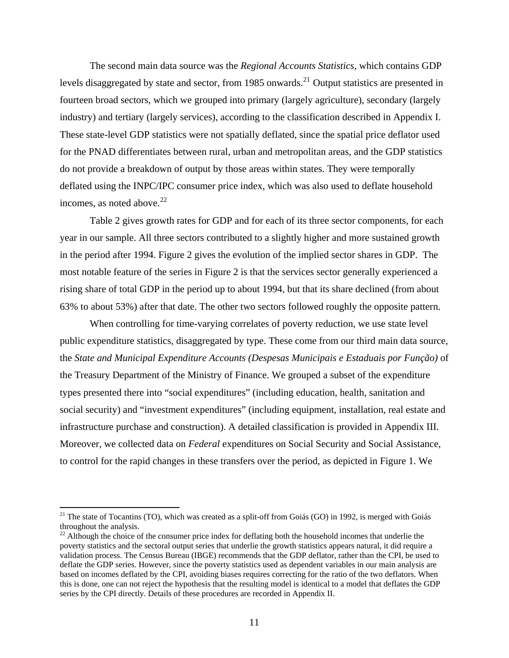<span id="page-12-0"></span>The second main data source was the *Regional Accounts Statistics*, which contains GDP levels disaggregated by state and sector, from 1985 onwards.<sup>[21](#page-12-0)</sup> Output statistics are presented in fourteen broad sectors, which we grouped into primary (largely agriculture), secondary (largely industry) and tertiary (largely services), according to the classification described in Appendix I . These state-level GDP statistic s were not spatially deflated, since the spatial price deflator used for the PNAD differentiates between rural, urban and metropolitan areas, and the GDP statistics do not provide a breakdown of output by those areas within states. They were temporally deflated using the INPC/IPC consumer price index, which was also used to deflate household incomes, as noted above. $22$ 

in the period after 1994. Figure 2 gives the evolution of the implied sector shares in GDP. The . 63% to about 53%) after that date. The other two sectors followed roughly the opposite pattern Table 2 gives growth rates for GDP and for each of its three sector components, for each year in our sample. All three sectors contributed to a slightly higher and more sustained growth most notable feature of the series in Figure 2 is that the services sector generally experienced a rising share of total GDP in the period up to about 1994, but that its share declined (from about

the State and Municipal Expenditure Accounts (Despesas Municipais e Estaduais por Função) of social security) and "investment expenditures" (including equipment, installation, real estate and infrastructure purchase and construction). A detailed classification is provided in Appendix III. Moreover, we collected data on *Federal* expenditures on Social Security and Social Assistance, When controlling for time-varying correlates of poverty reduction, we use state level public expenditure statistics, disaggregated by type. These come from our third main data source, the Treasury Department of the Ministry of Finance. We grouped a subset of the expenditure types presented there into "social expenditures" (including education, health, sanitation and to control for the rapid changes in these transfers over the period, as depicted in Figure 1. We

 $21$  The state of Tocantins (TO), which was created as a split-off from Goiás (GO) in 1992, is merged with Goiás throughout the analysis.

 $22$  Although the choice of the consumer price index for deflating both the household incomes that underlie the poverty statistics and the sectoral output series that underlie the growth statistics appears natural, it did require a validation process. The Census Bureau (IBGE) recommends that the GDP deflator, rather than the CPI, be used to deflate the GDP series. However, since the poverty statistics used as dependent variables in our main analysis are based on incomes deflated by the CPI, avoiding biases requires correcting for the ratio of the two deflators. When this is done, one can not reject the hypothesis that the resulting model is identical to a model that deflates the GDP series by the CPI directly. Details of these procedures are recorded in Appendix II.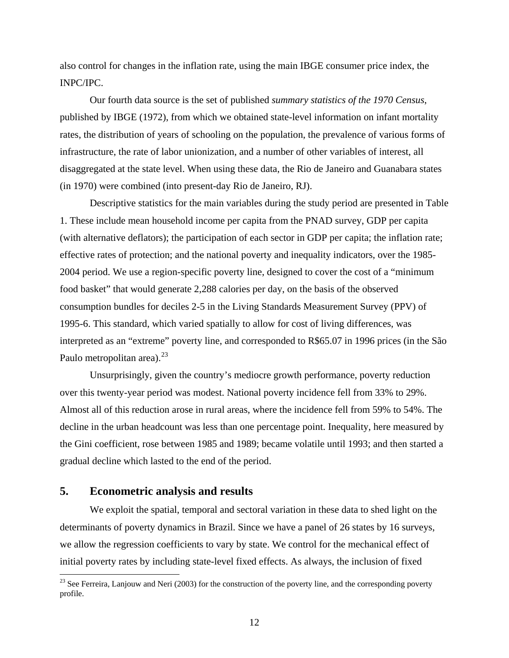also control for changes in the inflation rate, using the main IBGE consumer price index, the INPC/IPC.

published by IBGE (1972), from which we obtained state-level information on infant mortality Our fourth data source is the set of published *summary statistics of the 1970 Census*, rates, the distribution of years of schooling on the population, the prevalence of various forms of infrastructure, the rate of labor unionization, and a number of other variables of interest, all disaggregated at the state level. When using these data, the Rio de Janeiro and Guanabara states (in 1970) were combined (into present-day Rio de Janeiro, RJ).

Descriptive statistics for the main variables during the study period are presented in Table 1. These include mean household income per capita from the PNAD survey, GDP per capita effective rates of protection; and the national poverty and inequality indicators, over the 1985-2004 p eriod. We use a region-specific poverty line, designed to cover the cost of a "minimum (with alternative deflators); the participation of each sector in GDP per capita; the inflation rate; food basket" that would generate 2,288 calories per day, on the basis of the observed consumption bundles for deciles 2-5 in the Living Standards Measurement Survey (PPV) of 1995-6. This standard, which varied spatially to allow for cost of living differences, was interpreted as an "extreme" poverty line, and corresponded to R\$65.07 in 1996 prices (in the São Paulo metropolitan area). $^{23}$ 

Unsurprisingly, given the country's mediocre growth performance, poverty reduction over this twenty-year period was modest. National poverty incidence fell from 33% to 29%. Almost all of this reduction arose in rural areas, where the incidence fell from 59% to 54%. The decline in the urban headcount was less than one percentage point. Inequality, here measured by the Gini coefficient, rose between 1985 and 1989; became volatile until 1993; and then started a gradual decline which lasted to the end of the period.

### **5. Econometric analysis and results**

1

We exploit the spatial, temporal and sectoral variation in these data to shed light on the determinants of poverty dynamics in Brazil. Since we have a panel of 26 states by 16 surveys, we allow the regression coefficients to vary by state. We control for the mechanical effect of initial poverty rates by including state-level fixed effects. As always, the inclusion of fixed

 $^{23}$  See Ferreira, Lanjouw and Neri (2003) for the construction of the poverty line, and the corresponding poverty profile.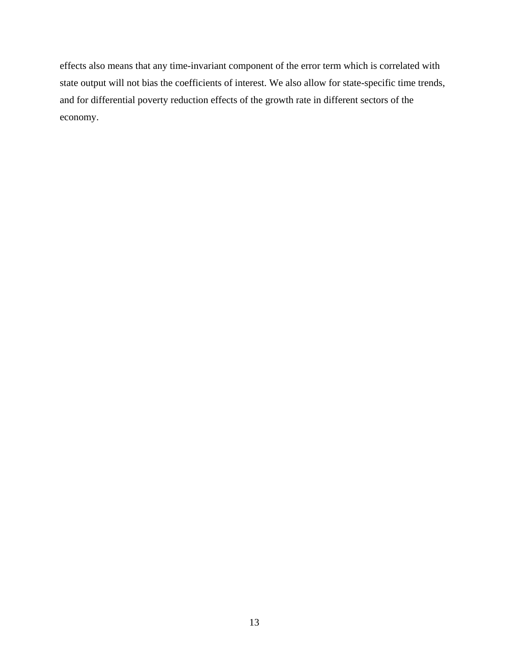effects also means that any time-invariant component of the error term which is correlated with state output will not bias the coefficients of interest. We also allow for state-specific time trends, and for differential poverty reduction effects of the growth ra te in different sectors of the economy.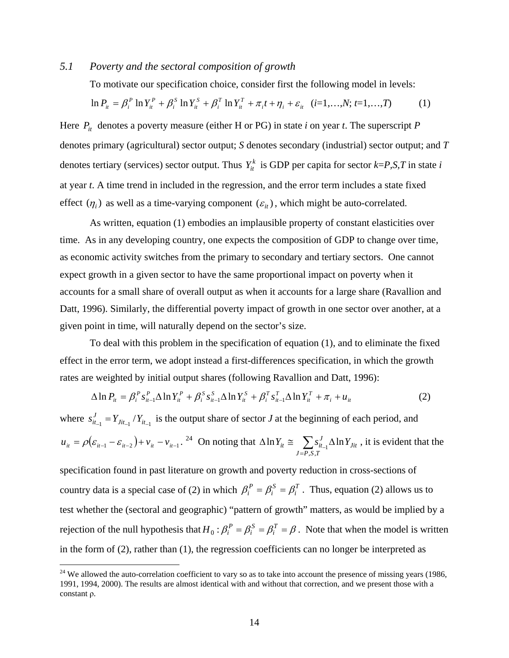### *5.1 Poverty and the sectoral composition of growth*

To motivate our specification choice, consider first the following model in levels:

$$
\ln P_{it} = \beta_i^P \ln Y_{it}^P + \beta_i^S \ln Y_{it}^S + \beta_i^T \ln Y_{it}^T + \pi_i t + \eta_i + \varepsilon_{it} \quad (i=1,...,N; t=1,...,T) \tag{1}
$$

denotes primary (agricultural) sector output; *S* denotes secondary (industrial) sector output; and *T* at year *t*. A time trend in included in the regression, and the error term includes a state fixed Here  $P_{it}$  denotes a poverty measure (either H or PG) in state *i* on year *t*. The superscript *P* denotes tertiary (services) sector output. Thus  $Y_{it}^k$  is GDP per capita for sector  $k= P, S, T$  in state *i* effect  $(\eta_i)$  as well as a time-varying component  $(\varepsilon_i)$ , which might be auto-correlated.

As written, equation (1) embodies an implausible property of constant elasticities over time. As in any developing country, one expects the composition of GDP to change over time, as economic activity switches from the primary to secondary and tertiary sectors. One cannot expect growth in a given sector to have the same proportional impact on poverty when it accounts for a small share of overall output as when it accounts for a large share (Ravallion and Datt, 1996). Similarly, the differential poverty impact of growth in one sector over another, at a given point in time, will naturally depend on the sector's size.

effect in the error term, we adopt instead a first-differences specification, in which the growth To deal with this problem in the specification of equation (1), and to eliminate the fixed rates are weighted by initial output shares (following Ravallion and Datt, 1996):

$$
\Delta \ln P_{it} = \beta_i^P s_{it-1}^P \Delta \ln Y_{it}^P + \beta_i^S s_{it-1}^S \Delta \ln Y_{it}^S + \beta_i^T s_{it-1}^T \Delta \ln Y_{it}^T + \pi_i + u_{it}
$$
(2)

where  $s_{it_{-1}}^J = Y_{j_{it_{-1}}} / Y_{it_{-1}}$  is the output share of sector *J* at the beginning of each period, and  $u_{it} = \rho(\varepsilon_{it-1} - \varepsilon_{it-2}) + v_{it} - v_{it-1}.$ <sup>[24](#page-16-0)</sup> On noting that  $\Delta \ln Y_{it} \approx \sum_{J=P,S,T} s_{it-1}^{J} \Delta$ *Jit*  $Y_{it} \equiv \sum s_{it-1}^J \Delta \ln Y$ ,,  $\ln Y_{it} \cong \sum s_{it-1}^J \Delta \ln Y_{lit}$ , it is evident that the

specification found in past literature on growth and poverty reduction in cross-sections of country data is a special case of (2) in which  $\beta_i^P = \beta_i^S = \beta_i^T$ . Thus, equation (2) allows us to test whether the (sectoral and geographic) "pattern of growth" matters, as would be implied by a rejection of the null hypothesis that  $H_0: \beta_i^P = \beta_i^S = \beta_i^T = \beta$ . Note that when the model is written *S*  $H_0: \beta_i^P = \beta_i^S = \beta_i^T = \beta$ . Note that when the model is w in the form of (2), rather than (1), the regression coefficients can no longer be interpreted as

 $\overline{a}$ 

 $24$  We allowed the auto-correlation coefficient to vary so as to take into account the presence of missing years (1986, 1991, 1994, 2000). The results are almost identical with and without that correction, and we present those with a constant ρ.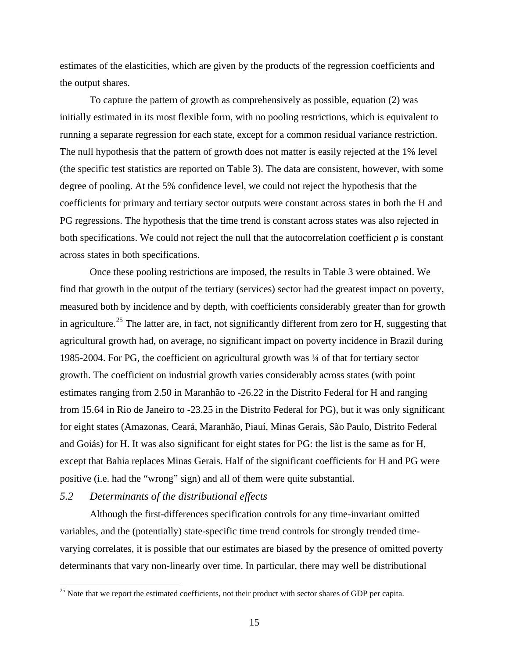<span id="page-16-0"></span>estimates of the elasticities, which are given by the products of the regression coefficients an d the output shares.

To capture the pattern of growth as comprehensively as possible, equation (2) was initially estimated in its most flexible form, with no pooling restrictions, which is equivalent to running a separate regression for each state, except for a com mon residual variance restriction. The null hypothesis that the pattern of growth does not matter is easily rejected at the 1% level (the specific test statistics are reported on Table 3). The data are consistent, however, with some both specifications. We could not reject the null that the autocorrelation coefficient  $\rho$  is constant degree of pooling. At the 5% confidence level, we could not reject the hypothesis that the coefficients for primary and tertiary sector outputs were constant across states in both the H and PG regressions. The hypothesis that the time trend is constant across states was also rejected in across states in both specifications.

Once these pooling restrictions are imposed, the results in Table 3 were obtained. We find that growth in the output of the tertiary (services) sector had the greatest impact on poverty, measured both by incidence and by depth, with coefficients considerably greater than for growth except that Bahia replaces Minas Gerais. Half of the significant coefficients for H and PG were in agriculture.<sup>25</sup> The latter are, in fact, not significantly different from zero for H, suggesting that agricultural growth had, on average, no significant impact on poverty incidence in Brazil during 1985-2004. For PG, the coefficient on agricultural growth was ¼ of that for tertiary sector growth. The coefficient on industrial growth varies considerably across states (with point estimates ranging from 2.50 in Maranhão to -26.22 in the Distrito Federal for H and ranging from 15.64 in Rio de Janeiro to -23.25 in the Distrito Federal for PG), but it was only significant for eight states (Amazonas, Ceará, Maranhão, Piauí, Minas Gerais, São Paulo, Distrito Federal and Goiás) for H. It was also significant for eight states for PG: the list is the same as for H, positive (i.e. had the "wrong" sign) and all of them were quite substantial.

### 5.2 Determinants of the distributional effects

 $\overline{a}$ 

varying correlates, it is possible that our estimates are biased by the presence of omitted poverty Although the first-differences specification controls for any time-invariant omitted variables, and the (potentially) state-specific time trend controls for strongly trended timedeterminants that vary non-linearly over time. In particular, there may well be distributional

 $25$  Note that we report the estimated coefficients, not their product with sector shares of GDP per capita.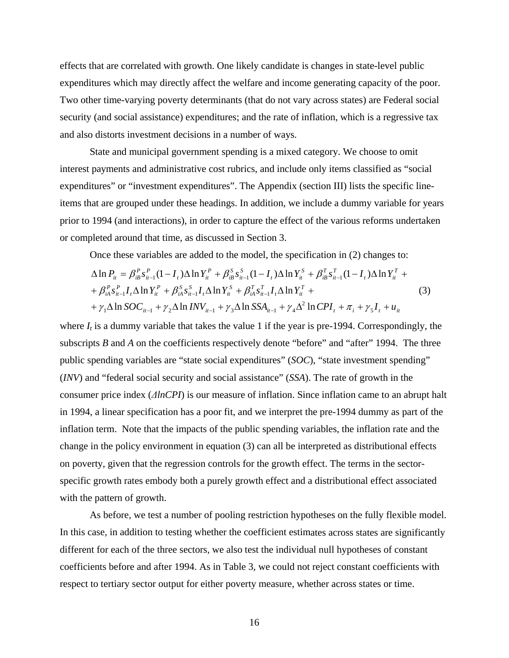effects that are correlated with growth. One likely candidate is changes in state-level public expenditures which may directly affect the welfare and income generating capacity of th e poor. Two other time-varying poverty determinants (that do not vary across states) are Federal social security (and social assistance) expenditures; and the rate of inflation, which is a regressive tax and also distorts investment decisions in a number of ways.

State and municipal government spending is a mixed category. We choose to omit interest payments and administrative cost rubrics, and include only items classified as "social expenditures" or "investment expenditures". The Appendix (section III) lists the specific lineitems that are grouped under these headings. In addition, we include a dummy variable for years prior to 1994 (and interactions), in order to capture the effect of the various reforms undertaken or completed around that time, as discussed in Section 3.

Once these variables are added to the model, the specification in (2) changes to:

$$
\Delta \ln P_{it} = \beta_{iB}^P s_{it-1}^P (1 - I_t) \Delta \ln Y_{it}^P + \beta_{iB}^S s_{it-1}^S (1 - I_t) \Delta \ln Y_{it}^S + \beta_{iB}^T s_{it-1}^T (1 - I_t) \Delta \ln Y_{it}^T +
$$
  
+  $\beta_{iA}^P s_{it-1}^P I_t \Delta \ln Y_{it}^P + \beta_{iA}^S s_{it-1}^S I_t \Delta \ln Y_{it}^S + \beta_{iA}^T s_{it-1}^T I_t \Delta \ln Y_{it}^T +$   
+  $\gamma_1 \Delta \ln SOC_{it-1} + \gamma_2 \Delta \ln INV_{it-1} + \gamma_3 \Delta \ln SSA_{it-1} + \gamma_4 \Delta^2 \ln CPI_t + \pi_i + \gamma_5 I_t + u_{it}$  (3)

subscripts  $B$  and  $A$  on the coefficients respectively denote "before" and "after" 1994. The three public sp ending variables are "state social expenditures" (*SOC*), "state investment spending" where  $I_t$  is a dummy variable that takes the value 1 if the year is pre-1994. Correspondingly, the (*INV*) and "federal social security and social assistance" (*SSA*). The rate of growth in the consumer price index (*ΔlnCPI*) is our measure of inflation. Since inflation came to an abrupt halt in 1994, a linear specification has a poor fit, and we interpret the pre-1994 dummy as part of the inflation term. Note that the impacts of the public spending variables, the inflation rate and the change in the policy environment in equation (3) can all be interpreted as distributional effects on poverty, given that the regression controls for the growth effect. The terms in the sectorspecific growth rates embody both a purely growth effect and a distributional effect associated with the pattern of growth.

In this case, in addition to testing whether the coefficient estimates across states are significantly As before, we test a number of pooling restriction hypotheses on the fully flexible model. different for each of the three sectors, we also test the individual null hypotheses of constant coefficients before and after 1994. As in Table 3, we could not reject constant coefficients with respect to tertiary sector output for either poverty measure, whether across states or time.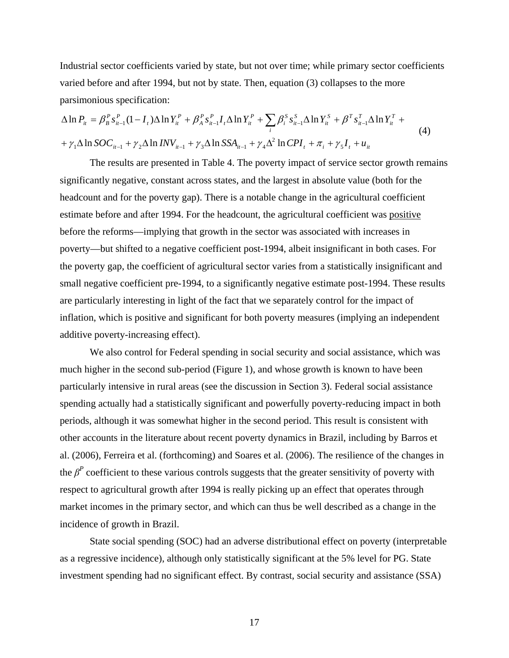Industrial sector coefficients varied by state, but not over time; while primary sector coefficients varied before and after 1994, but not by state. Then, equation (3) collapses to the more parsimonious specification:

$$
\Delta \ln P_{it} = \beta_B^P s_{it-1}^P (1 - I_t) \Delta \ln Y_{it}^P + \beta_A^P s_{it-1}^P I_t \Delta \ln Y_{it}^P + \sum_i \beta_i^S s_{it-1}^S \Delta \ln Y_{it}^S + \beta^T s_{it-1}^T \Delta \ln Y_{it}^T +
$$
  
+  $\gamma_1 \Delta \ln SOC_{it-1} + \gamma_2 \Delta \ln INV_{it-1} + \gamma_3 \Delta \ln SSA_{it-1} + \gamma_4 \Delta^2 \ln CPL_t + \pi_i + \gamma_5 I_t + u_{it}$  (4)

The results are presented in Table 4. The poverty impact of service sector growth remain s significantly negative, constant across states, and the largest in absolute value (both for the estimate before and after 1994. For the headcount, the agricultural coefficient was positive headcount and for the poverty gap). There is a notable change in the agricultural coefficient before the reforms—implying that growth in the sector was associated with increases in poverty—but shifted to a negative coefficient post-1994, albeit insignificant in both cases. For the poverty gap, the coefficient of agricultural sector varies from a statistically insignificant and small n egative coefficient pre-1994, to a significantly negative estimate post-1994. These results inflation, which is positive and significant for both poverty measures (implying an independent are particularly interesting in light of the fact that we separately control for the impact of additive poverty-increasing effect).

spending actually had a statistically significant and powerfully poverty-reducing impact in both We also control for Federal spending in social security and social assistance, which was much higher in the second sub-period (Figure 1), and whose growth is known to have been particularly intensive in rural areas (see the discussion in Section 3). Federal social assistance periods, although it was somewhat higher in the second period. This result is consistent with other accounts in the literature about recent poverty dynamics in Brazil, including by Barros et al. (2006), Ferreira et al. (forthcoming) and Soares et al. (2006). The resilience of the changes in the  $\beta^P$  coefficient to these various controls suggests that the greater sensitivity of poverty with respect to agricultural growth after 1994 is really picking up an effect that operates through market incomes in the primary sector, and which can thus be well described as a change in the incidence of growth in Brazil.

State social spending (SOC) had an adverse distributional effect on poverty (interpretable as a regressive incidence), although only statistically significant at the 5% level for PG. State investment spending had no significant effect. By contrast, social security and assistance (SSA)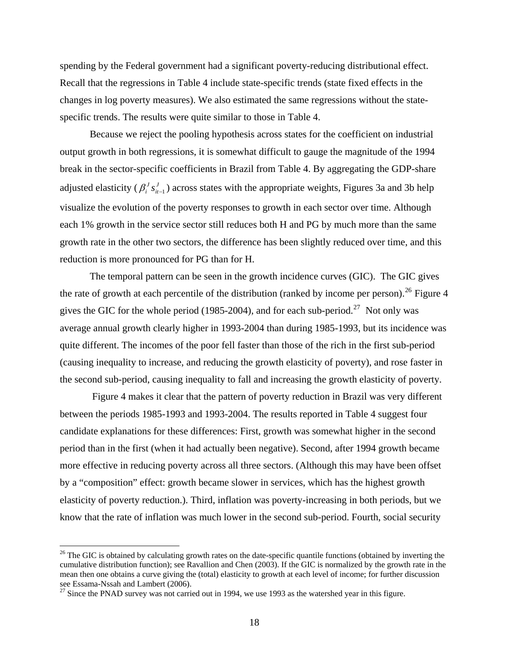spending by the Federal government had a significant poverty-reducing distributional effect. Recall that the regressions in Table 4 include state-specific trends (state fixed effects in the change s in log poverty measures). We also estimated the same regressions without the statespecific trends. The results were quite similar to those in Table 4.

Because we reject the pooling hypothesis across states for the coefficient on industrial output growth in both regressions, it is somewhat difficult to gauge the magnitude of the 1994 adjusted elasticity ( $\beta_i^J s_{i-1}^J$ ) across states with the appropriate weights, Figures 3a and 3b help visualize the evolution of the poverty responses to growth in each sector over time. Although growth rate in the other two sectors, the difference has been slightly reduced over time, and this break in the sector-specific coefficients in Brazil from Table 4. By aggregating the GDP-share  $\beta_i^J s_{it-1}^J$ ) across states wit each 1% growth in the service sector still reduces both H and PG by much more than the same reduction is more pronounced for PG than for H.

The temporal pattern can be seen in the growth incidence curves (GIC). The GIC gives the rate of growth at each percentile of the distribution (ranked by income per person). <sup>26</sup> Figure 4 gives the GIC for the whole period (1985-2004), and for each sub-period.<sup>27</sup> Not only was average annual growth clearly higher in 1993-2004 than during 1985-1993, but its incidence was quite different. The incomes of the poor fell faster than those of the rich in the first sub-period (causing inequality to increase, and reducing the growth elasticity of poverty), and rose faster in the second sub-period, causing inequality to fall and increasing the growth elasticity of poverty.

Figure 4 makes it clear that the pattern of poverty reduction in Brazil was very different period than in the first (when it had actually been negative). Second, after 1994 growth became more effective in reducing poverty across all three sectors. (Although this may have been offset by a "composition" effect: growth becam e slower in services, which has the highest growth elasticity of poverty reduction.). Third, inflation was poverty-increasing in both periods, but we know that the rate of inflation was much lower in the second sub-period. Fourth, social security between the periods 1985-1993 and 1993-2004. The results reported in Table 4 suggest four candidate explanations for these differences: First, growth was somewhat higher in the second

 $\overline{a}$ 

 $26$  The GIC is obtained by calculating growth rates on the date-specific quantile functions (obtained by inverting the cumulative distribution function); see Ravallion and Chen (2003). If the GIC is normalized by the growth rate in the mean then one obtains a curve giving the (total) elasticity to growth at each level of income; for further discussion see Essama-Nssah and Lambert (2006).<br><sup>27</sup> Since the PNAD survey was not carried out in 1994, we use 1993 as the watershed year in this figure.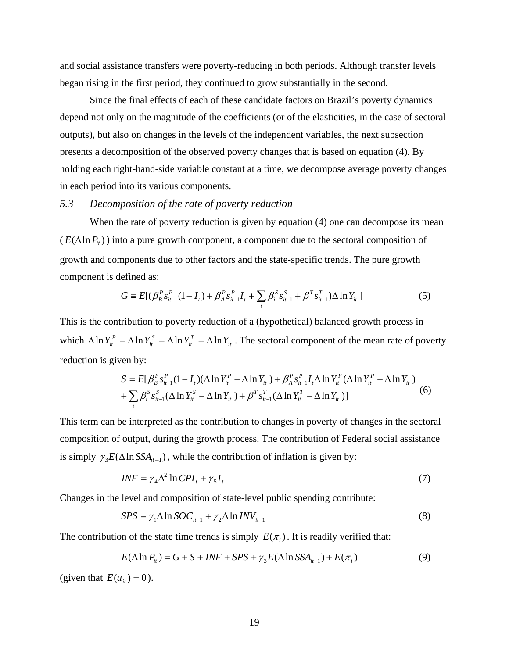and soc ial assistance transfers were poverty-reducing in both periods. Although transfer levels began rising in the first period, they continued to grow substantially in the second.

depend not only on the magnitude of the coefficients (or of the elasticities, in the case of sectoral holding each right-hand-side variable constant at a time, we decompose average poverty changes in each period into its various components. Since the final effects of each of these candidate factors on Brazil's poverty dynamics outputs), but also on changes in the levels of the independent variables, the next subsection presents a decomposition of the observed poverty changes that is based on equation (4). By

### *5.3 Decomposition of the rate of poverty reduction*

When the rate of poverty reduction is given by equation (4) one can decompose its mean  $(E(\Delta \ln P_{it}))$  into a pure growth component, a component due to the sectoral composition of growth and components due to other factors and the state-specific trends. The pure growth component is defined as:

$$
G = E[(\beta_B^P s_{i t-1}^P (1 - I_t) + \beta_A^P s_{i t-1}^P I_t + \sum_i \beta_i^S s_{i t-1}^S + \beta^T s_{i t-1}^T)\Delta \ln Y_{it}]
$$
\n(5)

This is the contribution to poverty reduction of a (hypothetical) balanced growth process in which  $\Delta \ln Y_i^P = \Delta \ln Y_i^S = \Delta \ln Y_i^T = \Delta \ln Y_i$ *it S it*  $\Delta \ln Y_i^P = \Delta \ln Y_i^S = \Delta \ln Y_i^T = \Delta \ln Y_i$ . The sectoral component of the mean rate of poverty reducti on is given by:

$$
S = E[\beta_B^P s_{it-1}^P (1 - I_t)(\Delta \ln Y_{it}^P - \Delta \ln Y_{it}) + \beta_A^P s_{it-1}^P I_t \Delta \ln Y_{it}^P (\Delta \ln Y_{it}^P - \Delta \ln Y_{it}) + \sum_i \beta_i^S s_{it-1}^S (\Delta \ln Y_{it}^S - \Delta \ln Y_{it}) + \beta^T s_{it-1}^T (\Delta \ln Y_{it}^T - \Delta \ln Y_{it})]
$$
(6)

This term can be interpreted as the contribution to changes in poverty of changes in the sectoral composition of output, during the growth process. The contribution of Federal social assistance is simply  $\gamma_3 E(\Delta \ln SSA_{i\tau-1})$ , while the contribution of inflation is given by:

$$
INF = \gamma_4 \Delta^2 \ln CPI_t + \gamma_5 I_t \tag{7}
$$

Changes in the level and composition of state-level public spending contribute:

$$
SPS \equiv \gamma_1 \Delta \ln SOC_{it-1} + \gamma_2 \Delta \ln INV_{it-1}
$$
 (8)

The contribution of the state time trends is simply  $E(\pi_i)$ . It is readily verified that:

$$
E(\Delta \ln P_{it}) = G + S + INF + SPS + \gamma_3 E(\Delta \ln SSA_{it-1}) + E(\pi_i)
$$
\n
$$
(9)
$$

(given that  $E(u_{it}) = 0$ ).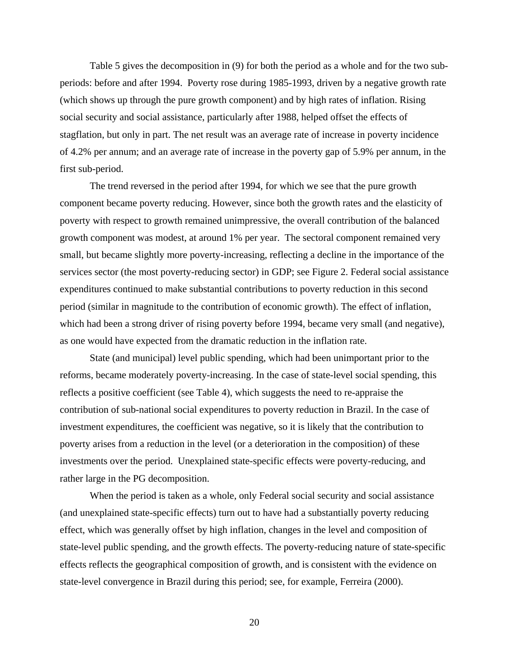Table 5 gives the decomposition in (9) for both the period as a whole and for the two subperiods: before and after 1994. Poverty rose during 1985-1993, driven by a negative growth rate (which shows up through the pure growth component) and by high rates of inflation. Risin g social security and social assistance, particularly after 1988, helped offset the effects of stagflation, but only in part. The net result was an average rate of increase in poverty incidence of 4.2% per annum; and an average rate of increase in the poverty gap of 5.9% per annum, in the first sub-period.

The trend reversed in the period after 1994, for which we see that the pure growth component became poverty reducing. However, since both the growth rates and the elasticity of poverty with respect to growth remained unimpressive, the overall contribution of the balanced growth component was modest, at around 1% per year. The sectoral component remained very small, but became slightly more poverty-increasing, reflecting a decline in the importance of the services sector (the most poverty-re ducing sector) in GDP; see Figure 2. Federal social assistance expenditures continued to make substantial contributions to poverty reduction in this second period (similar in magnitude to the contribution of economic growth). The effect of inflation, which had been a strong driver of rising poverty before 1994, became very small (and negative), as one would have expected from the dramatic reduction in the inflation rate.

reflects a positive coefficient (see Table 4), which suggests the need to re-appraise the contrib ution of sub-national social expenditures to poverty reduction in Brazil. In the case of State (and municipal) level public spending, which had been unimportant prior to the reforms, became moderately poverty-increasing. In the case of state-level social spending, this investment expenditures, the coefficient was negative, so it is likely that the contribution to poverty arises from a reduction in the level (or a deterioration in the composition) of these investments over the period. Unexplained state-specific effects were poverty-reducing, and rather large in the PG decomposition.

When the period is taken as a whole, only Federal social security and social assistance (and un explained state-specific effects) turn out to have had a substantially poverty reducing state-level public spending, and the growth effects. The poverty-reducing nature of state-specific effects reflects the geographical composition of growth, and is consistent with the evidence on effect, which was generally offset by high inflation, changes in the level and composition of state-level convergence in Brazil during this period; see, for example, Ferreira (2000).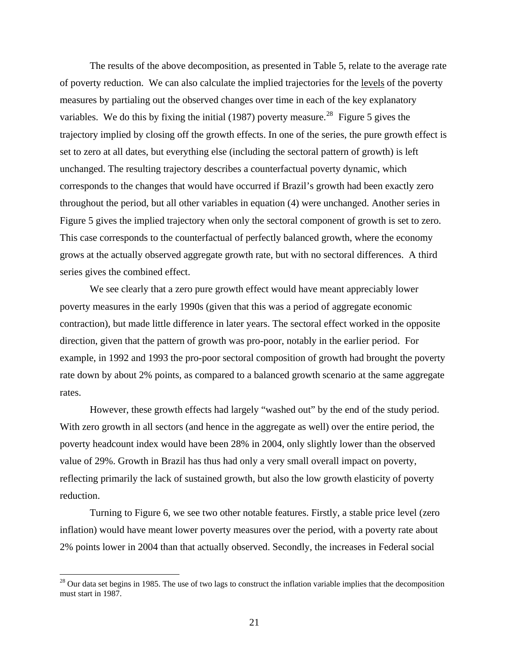The results of the above decomposition, as presented in Table 5, relate to the average rat e of poverty reduction. We can also calculate the implied trajectories for the levels of the poverty measures by partialing out the observed changes over time in each of the key explanatory variables. We do this by fixing the initial (1987) poverty measure.<sup>28</sup> Figure 5 gives the trajectory implied by closing off the growth effects. In one of the series, the pure growth effect is set to zero at all dates, but everything else (including the sectoral pattern of growth) is left unchanged. The resulting trajectory describes a counterfactual poverty dynamic, which through out the period, but all other variables in equation (4) were unchanged. Another series in Figure 5 gives the implied trajectory when only the sectoral component of growth is set to zero. grows at the actually observed aggregate growth rate, but with no sectoral differences. A third corresponds to the changes that would have occurred if Brazil's growth had been exactly zero This case corresponds to the counterfactual of perfectly balanced growth, where the economy series gives the combined effect.

We see clearly that a zero pure growth effect would have meant appreciably lower poverty measures in the early 1990s (given th at this was a period of aggregate economic contraction), but made little difference in later years. The sectoral effect worked in the opposite directio n, given that the pattern of growth was pro-poor, notably in the earlier period. For example, in 1992 and 1993 the pro-poor sectoral composition of growth had brought the poverty rate down by about 2% points, as compared to a balanced growth scenario at the same aggregate rates.

However, these growth effects had largely "washed out" by the end of the study period. With zero growth in all sectors (and hence in the aggregate as well) over the entire period, the poverty headcount index would have been 28% in 2004, only slightly lower than the observed value of 29%. Growth in Brazil has thus had only a very small overall impact on poverty, reflecti ng primarily the lack of sustained growth, but also the low growth elasticity of poverty reduction.

Turning to Figure 6, we see two other notable features. Firstly, a stable price level (zero 2% points lower in 2004 than that actually observed. Secondly, the increases in Federal social inflation) would have meant lower poverty measures over the period, with a poverty rate about

 $\overline{a}$ 

 $28$  Our data set begins in 1985. The use of two lags to construct the inflation variable implies that the decomposition must st art in 1987.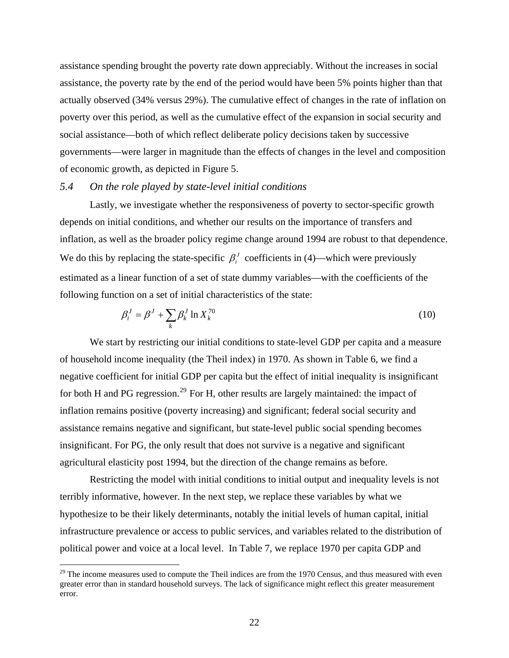assistance spending brought the poverty rate down appreciably. Without the increases in social assistance, the poverty rate by the end of the period would have been 5% points higher than that actually observed (34% versus 29%). The cumulative effect of changes in the rate of inflatio n on poverty over this period, as well as the cumulative effect of the expansion in social security and social assistance—both of which reflect deliberate policy decisions taken by successive governments—were larger in magnitude than the effects of changes in the level and compositio n of economic growth, as depicted in Figure 5.

### *5.4 On the role played by state-level initial conditions*

Lastly, we investigate whether the responsiveness of poverty to sector-specific growth inflation, as well as the broader policy regime change around 1994 are robust to that dependence. estimated as a linear function of a set of state dummy variables—with the coefficients of the depends on initial conditions, and whether our results on the importance of transfers and We do this by replacing the state-specific  $\beta_i^j$  coefficients in (4)—which were previously following function on a set of initial characteristics of the state:

$$
\beta_i^J = \beta^J + \sum_k \beta_k^J \ln X_k^{70}
$$
\n(10)

negative coefficient for initial GDP per capita but the effect of initial inequality is insignificant inflation remains positive (poverty increasing) and significant; federal social security and assistance remains negative and significant, but state-level public social spending becomes insignificant. For PG, the only result that does not survive is a negative and significant We start by restricting our initial conditions to state-level GDP per capita and a measure of household income inequality (the Theil index) in 1970. As shown in Table 6, we find a for both H and PG regression.<sup>29</sup> For H, other results are largely maintained: the impact of agricultural elasticity post 1994, but the direction of the change remains as before.

Restricting the model with initial conditions to initial output and inequality levels is not terribly informative, however. In the next step, we replace these variables by what we hypothesize to be their likely determinants, notably the initial levels of human capital, initial infrastructure prevalence or access to public services, and variables related to the distribution of political power and voice at a local level. In Table 7, we replace 1970 per capita GDP and

 $29$  The income measures used to compute the Theil indices are from the 1970 Census, and thus measured with even greater error than in standard household surveys. The lack of significance might reflect this greater measurement error.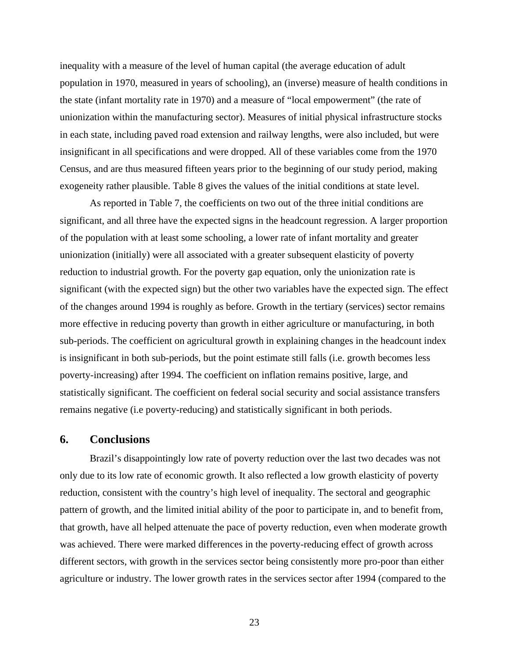inequality with a measure of the level of human capital (the average education of adult population in 1970, measured in years of schooling), an (inverse) measure of health conditions in the stat e (infant mortality rate in 1970) and a measure of "local empowerment" (the rate of in each state, including paved road extension and railway lengths, were also included, but were exogeneity rather plausible. Table 8 gives the values of the initial conditions at state level. unionization within the manufacturing sector). Measures of initial physical infrastructure stocks insignificant in all specifications and were dropped. All of these variables come from the 1970 Census, and are thus measured fifteen years prior to the beginning of our study period, making

of the changes around 1994 is roughly as before. Growth in the tertiary (services) sector remains more effective in reducing poverty than growth in either agriculture or manufacturing, in both sub-periods. The coefficient on agricultural growth in explaining changes in the headcount index poverty-increasing) after 1994. The coefficient on inflation remains positive, large, and statistic ally significant. The coefficient on federal social security and social assistance transfers As reported in Table 7, the coefficients on two out of the three initial conditions are significant, and all three have the expected signs in the headcount regression. A larger proportion of the population with at least some schooling, a lower rate of infant mortality and greater unionization (initially) were all associated with a greater subsequent elasticity of poverty reduction to industrial growth. For the poverty gap equation, only the unionization rate is significant (with the expected sign) but the other two variables have the expected sign. The effect is insignificant in both sub-periods, but the point estimate still falls (i.e. growth becomes less remains negative (i.e poverty-reducing) and statistically significant in both periods.

### **6. Conclusions**

pattern of growth, and the limited initial ability of the poor to participate in, and to benefit from, that growth, have all helped attenuate the pace of poverty reduction, even when moderate growth was achieved. There were marked differences in the poverty-reducing effect of growth across different sectors, with growth in the services sector being consistently more pro-poor than either agriculture or industry. The lower growth rates in the services sector after 1994 (compared to the Brazil's disappointingly low rate of poverty reduction over the last two decades was not only due to its low rate of economic growth. It also reflected a low growth elasticity of poverty reduction, consistent with the country's high level of inequality. The sectoral and geographic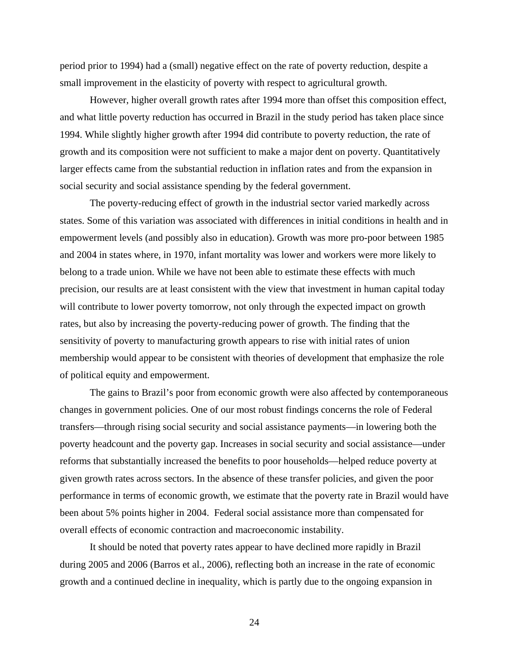period prior to 1994) had a (small) negative effect on the rate of poverty reduction, despite a small improvement in the elasticity of poverty with respect to agricultural growth.

However, higher overall growth rates after 1994 more than offset this composition effect, and wh at little poverty reduction has occurred in Brazil in the study period has taken place since 1994. While slightly higher growth after 1994 did contribute to poverty reduction, the rate of growth and its composition were not sufficient to make a major dent on poverty. Quantitatively larger effects came from the substantial reduction in inflation rates and from the expansion in social security and social assistance spending by the federal government.

The poverty-reducing effect of growth in the industrial sector varied markedly across states. Some of this variation was associated with differences in initial conditions in health and in empowerment levels (and possibly also in education). Growth was more pro-poor between 1985 and 2004 in states where, in 1970, infant mortality was lower and workers were more likely to precision, our results are at least consistent with the view that investment in human capital today membership would appear to be consistent with theories of development that emphasize the role of political equity and empowerment. belong to a trade union. While we have not been able to estimate these effects with much will contribute to lower poverty tomorrow, not only through the expected impact on growth rates, but also by increasing the poverty-reducing power of growth. The finding that the sensitivity of poverty to manufacturing growth appears to rise with initial rates of union

The gains to Brazil's poor from economic growth were also affected by contemporaneous changes in government policies. One of our most robust findings concerns the role of Federal transfers—through rising social security and social assistance payments—in lowering both the poverty headcount and the poverty gap. Increases in social security and social assistance—under reforms that substantially increased the benefits to poor households—helped reduce poverty at given growth rates across sectors. In the absence of these transfer policies, and given the poor performance in terms of economic growth, we estimate that the poverty rate in Brazil would have been about 5% points higher in 2004. Federal social assistance more than compensated for overall effects of economic contraction and macroeconomic instability.

It should be noted that poverty rates appear to have declined more rapidly in Brazil during 2005 and 2006 (Barros et al., 2006), reflecting both an increase in the rate of economic growth and a continued decline in inequality, which is partly due to the ongoing expansion in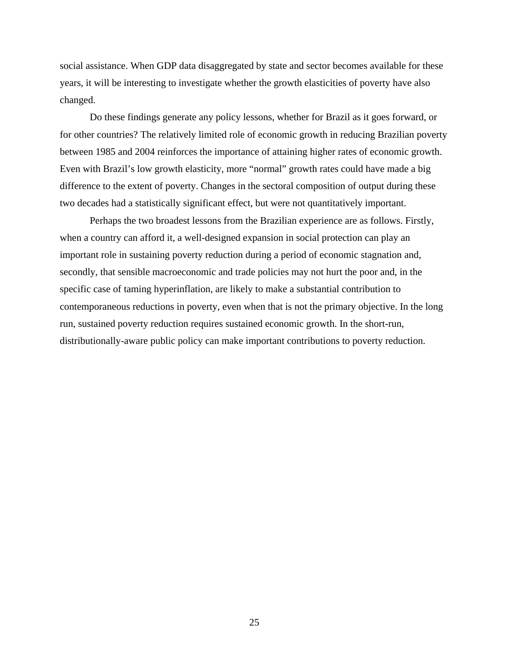social assistance. When GDP data disaggregated by state and sector becomes available for these years, it will be interesting to investigate whether the growth elasticities of poverty have also changed.

between 1985 and 2004 reinforces the importance of attaining higher rates of economic growth. difference to the extent of poverty. Changes in the sectoral composition of output during these two decades had a statistically significant effect, but were not quantitatively important. Do these findings generate any policy lessons, whether for Brazil as it goes forward, or for other countries? The relatively limited role of economic growth in reducing Brazilian poverty Even with Brazil's low growth elasticity, more "normal" growth rates could have made a big

Perhaps the two broadest lessons from the Brazilian experience are as follows. Firstly, important role in sustaining poverty reduction during a period of economic stagnation and, specific case of taming hyperinflation, are likely to make a substantial contribution to contemporaneous reductions in poverty, even when that is not the primary objective. In the long run, sustained poverty reduction requires sustained economic growth. In the short-run, distributionally-aware public policy can make important contributions to poverty reduction. when a country can afford it, a well-designed expansion in social protection can play an secondly, that sensible macroeconomic and trade policies may not hurt the poor and, in the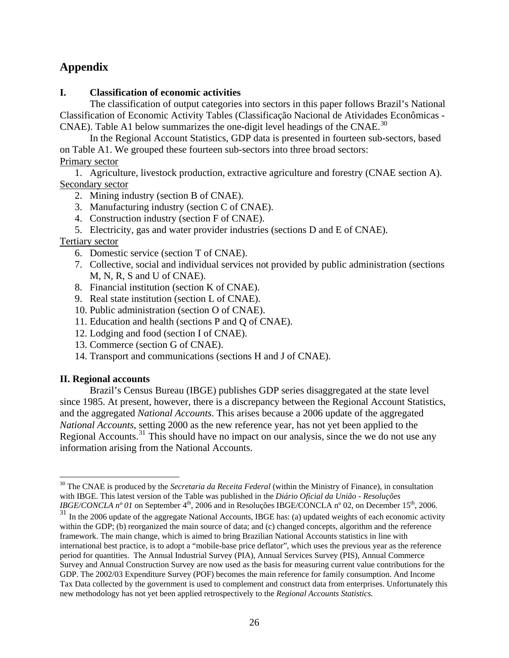### **Appendix**

### **I. Classification of economic activities**

The classification of output categories into sectors in this paper follows Brazil's National Classification of Economic Activity Tables (Classificação Nacional de Atividades Econômicas -CNAE). Table A1 below summarizes the one-digit level headings of the CNAE.<sup>30</sup>

In the Regional Account Statistics, GDP data is presented in fourteen sub-sectors, based on Table A1. We grouped these fourteen sub-sectors into three broad sectors: **Primary sector** 

1. Agriculture, livestock production, extractive agriculture and forestry (CNAE section A). Secondary sector

- 2. Mining industry (section B of CNAE).
- 3. Manufacturing industry (section C of CNAE).
- 4. Construction industry (section F of CNAE).
- 5. Electricity, gas and water provider industries (sections D and E of CNAE).

### Tertiary sector

- 6. Domestic service (section T of CNAE).
- 7. Collective, social and individual services not provided by public administration (sections  $M$ , N, R, S and U of CNAE).
- 8. Financial institution (section K of CNAE).
- 9. Real state institution (section L of CNAE).
- 10. Public administration (section O of CNAE).
- 11. Education and health (sections P and Q of CNAE).
- 12. Lodging and food (section I of CNAE).
- 13. Commerce (section G of CNAE).
- 14. Transport and communications (sections H and J of CNAE).

### **II. Regional accounts**

1

Brazil's Census Bureau (IBGE) publishes GDP series disaggregated at the state level since 1985. At present, however, there is a discrepancy between the Regional Account Statistics, and the aggregated *National Accounts*. This arises because a 2006 update of the aggregated *National Accounts*, setting 2000 as the new reference year, has not yet been applied to the information arising from the National Accounts. Regional Accounts.<sup>31</sup> This should have no impact on our analysis, since the we do not use any

<sup>30</sup> The CNAE is produced by the *Secretaria da Receita Federal* (within the Ministry of Finance), in consultation with IBGE. This latest version of the Table was published in the *Diário Oficial da União - Resoluções IBGE/CONCLA n° 01* on September 4<sup>th</sup>, 2006 and in Resoluções IBGE/CONCLA n° 02, on December 15<sup>th</sup>, 2006.

<sup>&</sup>lt;sup>31</sup> In the 2006 update of the aggregate National Accounts, IBGE has: (a) updated weights of each economic activity within the GDP; (b) reorganized the main source of data; and (c) changed concepts, algorithm and the reference framework. The main change, which is aimed to bring Brazilian National Accounts statistics in line with international best practice, is to adopt a "mobile-base price deflator", which uses the previous year as the reference period for quantities. The Annual Industrial Survey (PIA), Annual Services Survey (PIS), Annual Commerce Survey and Annual Construction Survey are now used as the basis for measuring current value contributions for the GDP. The 2002/03 Expenditure Survey (POF) becomes the main reference for family consumption. And Income Tax Data collected by the government is used to complement and construct d ata from enterprises. Unfortunately this new methodology has not yet been applied retrospectively to the *Regional Accounts Statistics.*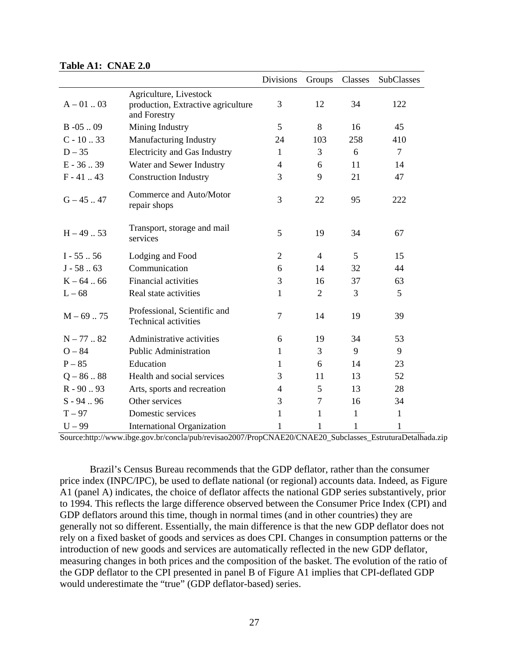|                |                                                             | <b>Divisions</b> | Groups         | Classes      | SubClasses   |
|----------------|-------------------------------------------------------------|------------------|----------------|--------------|--------------|
|                | Agriculture, Livestock                                      |                  |                |              |              |
| $A - 01$ 03    | production, Extractive agriculture<br>and Forestry          | 3                | 12             | 34           | 122          |
| $B - 05$ 09    | Mining Industry                                             | 5                | 8              | 16           | 45           |
| $C - 10.33$    | Manufacturing Industry                                      | 24               | 103            | 258          | 410          |
| $D - 35$       | <b>Electricity and Gas Industry</b>                         | $\mathbf{1}$     | 3              | 6            | $\tau$       |
| $E - 36.39$    | Water and Sewer Industry                                    | 4                | 6              | 11           | 14           |
| $F - 41$ 43    | <b>Construction Industry</b>                                | 3                | 9              | 21           | 47           |
| $G - 45$ 47    | Commerce and Auto/Motor<br>repair shops                     | 3                | 22             | 95           | 222          |
| $H - 49$ . 53  | Transport, storage and mail<br>services                     | 5                | 19             | 34           | 67           |
| $I - 55$ $.56$ | Lodging and Food                                            | $\overline{2}$   | $\overline{4}$ | 5            | 15           |
| $J - 5863$     | Communication                                               | 6                | 14             | 32           | 44           |
| $K - 64$ 66    | <b>Financial activities</b>                                 | 3                | 16             | 37           | 63           |
| $L - 68$       | Real state activities                                       | $\mathbf{1}$     | $\overline{2}$ | 3            | 5            |
| $M - 69$ 75    | Professional, Scientific and<br><b>Technical activities</b> | 7                | 14             | 19           | 39           |
| $N - 77$ 82    | Administrative activities                                   | 6                | 19             | 34           | 53           |
| $O - 84$       | <b>Public Administration</b>                                | $\mathbf{1}$     | 3              | 9            | 9            |
| $P - 85$       | Education                                                   | 1                | 6              | 14           | 23           |
| $Q - 8688$     | Health and social services                                  | 3                | 11             | 13           | 52           |
| $R - 90.93$    | Arts, sports and recreation                                 | $\overline{4}$   | 5              | 13           | 28           |
| $S - 94 - 96$  | Other services                                              | 3                | $\overline{7}$ | 16           | 34           |
| $T - 97$       | Domestic services                                           | 1                | 1              | $\mathbf{1}$ | $\mathbf{1}$ |
| $U - 99$       | <b>International Organization</b>                           | 1                | 1              | $\mathbf{1}$ | $\mathbf{1}$ |

#### **Table A1: CNAE 2.0**

Source:http://www.ibge.gov.br/concla/pub/revisao2007/PropCNAE20/CNAE20\_Subclasses\_EstruturaDetalhada.zip

 Brazil's Census Bureau recommends that the GDP deflator, rather than the consumer price index (INPC/IPC), be used to deflate national (or regional) accounts data. Indeed, as Figure A1 (panel A) indicates, the choice of deflator affects the national GDP series substantively, prior to 1994. This reflects the large difference observed between the Consumer Price Index (CPI) and GDP deflators around this time, though in normal times (and in other countries) they are generally not so different. Essentially, the main difference is that the new GDP deflator does not rely on a fixed basket of goods and services as does CPI. Changes in consumption patterns or the introduction of new goods and services are automatically reflected in the new GDP deflator, measuring changes in both prices and the composition of the basket. The evolution of the ratio of the GDP deflator to the CPI presented in panel B of Figure A1 implies that CPI-deflated GDP would underestimate the "true" (GDP deflator-based) series.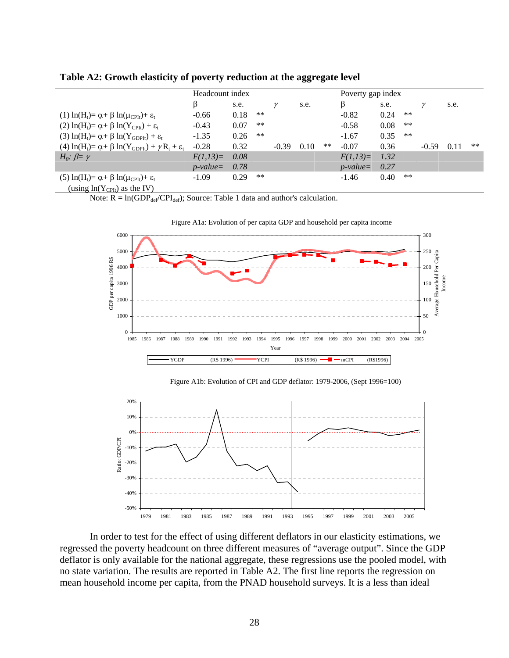|                                                                                                                   | Headcount index |      |       |         | Poverty gap index |       |             |      |       |         |      |       |
|-------------------------------------------------------------------------------------------------------------------|-----------------|------|-------|---------|-------------------|-------|-------------|------|-------|---------|------|-------|
|                                                                                                                   |                 | s.e. |       |         | s.e.              |       |             | s.e. |       |         | s.e. |       |
| (1) $\ln(H_t) = \alpha + \beta \ln(\mu_{\text{CPIt}}) + \varepsilon_t$                                            | $-0.66$         | 0.18 | $***$ |         |                   |       | $-0.82$     | 0.24 | $***$ |         |      |       |
| (2) $\ln(H_t) = \alpha + \beta \ln(Y_{\text{CPIt}}) + \varepsilon_t$                                              | $-0.43$         | 0.07 | $***$ |         |                   |       | $-0.58$     | 0.08 | $***$ |         |      |       |
| (3) $\ln(H_t) = \alpha + \beta \ln(Y_{GDPIt}) + \varepsilon_t$                                                    | $-1.35$         | 0.26 | $***$ |         |                   |       | $-1.67$     | 0.35 | $***$ |         |      |       |
| (4) $\ln(H_t) = \alpha + \beta \ln(Y_{GDPIt}) + \gamma R_t + \varepsilon_t$                                       | $-0.28$         | 0.32 |       | $-0.39$ | 0.10              | $***$ | $-0.07$     | 0.36 |       | $-0.59$ | 0.11 | $***$ |
| $H_0$ : $\beta = \gamma$                                                                                          | $F(1,13)=$      | 0.08 |       |         |                   |       | $F(1,13)=$  | 1.32 |       |         |      |       |
|                                                                                                                   | $p$ -value=     | 0.78 |       |         |                   |       | $p$ -value= | 0.27 |       |         |      |       |
| (5) $\ln(H_t) = \alpha + \beta \ln(\mu_{\text{CPIt}}) + \varepsilon_t$<br>(using $ln(Y_{\text{CPIt}})$ as the IV) | $-1.09$         | 0.29 | $***$ |         |                   |       | $-1.46$     | 0.40 | $***$ |         |      |       |

#### **Table A2: Growth elasticity of poverty reduction at the aggregate level**

Note:  $\overline{R} = \ln(\text{GDP}_{\text{def}}/\text{CPI}_{\text{def}})$ ; Source: Table 1 data and author's calculation.



Figure A1b: Evolution of CPI and GDP deflator: 1979-2006, (Sept 1996=100)



In order to test for the effect of using different deflators in our elasticity estimations, we regressed the poverty headcount on three different measures of "average output". Since the GDP deflator is only available for the national aggregate, these regressions use the pooled model, with no state variation. The results are reported in Table A2. The first line reports the regression on mean household income per capita, from the PNAD household surveys. It is a less than ideal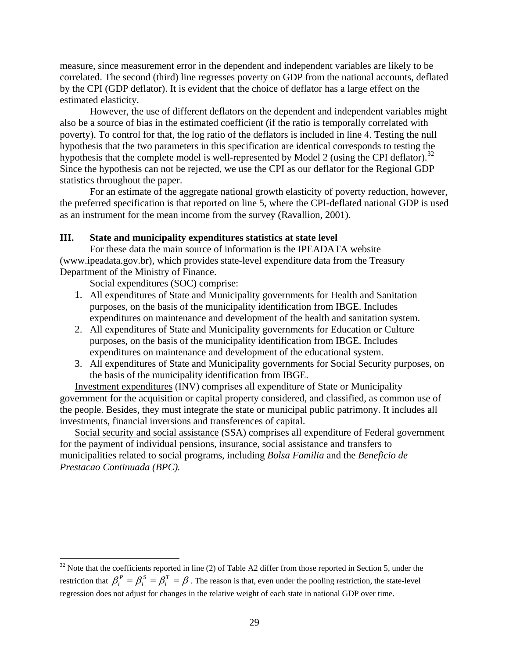measure, since measurement error in the dependent and independent variables are likely to be correlated. The second (third) line regresses poverty on GDP from the national accounts, deflated by the CPI (GDP deflator). It is evident that the choice of deflator has a large effect on the estimated elasticity.

also be a source of bias in the estimated coefficient (if the ratio is temporally correlated with hypothesis that the complete model is well-represented by Model 2 (using the CPI deflator).<sup>32</sup> Since the hypothesis can not be rejected, we use the CPI as our deflator for the Regional GDP However, the use of different deflators on the dependent and independent variables might poverty). To control for that, the log ratio of the deflators is included in line 4. Testing the null hypothesis that the two parameters in this specification are identical corresponds to testing the statistics throughout the paper.

For an estimate of the aggregate national growth elasticity of poverty reduction, however, the preferred specification is that reported on line 5, where the CPI-deflated national GDP is used as an instrument for the mean income from the survey (Ravallion, 2001).

### **III. State and municipality expenditures statistics at state level**

For these data the main source of information is the IPEADATA website (www.ipeadata.gov.br), which provides state-level expenditure data from the Treasury Department of the Ministry of Finance.

Social expenditures (SOC) comprise:

 $\overline{a}$ 

- 1. All expenditures of State and Municipality governments for Health and Sanitation purposes, on the basis of the municipality identification from IBGE. Includes expenditures on maintenance and development of the health and sanitation system.
- 2. All expenditures of State and Municipality governments for Education or Culture purposes, on the basis of the municipality identification from IBGE. Includes expenditures on maintenance and development of the educational system.
- the basis of the municipality identification from IBGE. 3. All expenditures of State and Municipality governments for Social Security purposes, on

Investment expenditures (INV) comprises all expenditure of State or Municipality government for the acquisition or capital property considered, and classified, as common use o f the people. Besides, they must integrate the state or municipal public patrimony. It includes all investments, financial inversions and transferences of capital.

Social security and social assistance (SSA) comprises all expenditure of Federal government for the payment of individual pensions, insurance, social assistance and transfers to municipalities related to social programs, including *Bolsa Familia* and the *Beneficio de Prestacao Continuada (BPC).*

 $32$  Note that the coefficients reported in line (2) of Table A2 differ from those reported in Section 5, under the restriction that  $\beta_i^P = \beta_i^S = \beta_i^T = \beta$ . The reason is that, even under the pooling restriction, the state-level regression does not adjust for changes in the relative weight of each state in national GDP over time.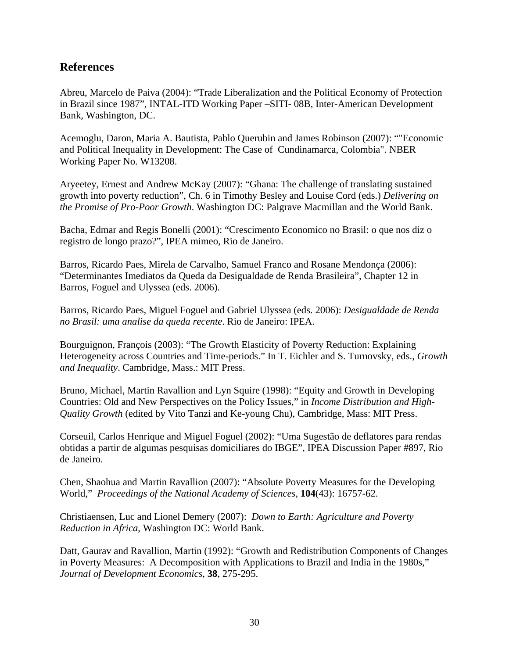### **References**

Abreu, Marcelo de Paiva (2004): "Trade Liberalization and the Political Economy of Protection in Brazil since 1987", INTAL-ITD Working Paper –SITI- 08B, Inter-American Development Bank, Washington, DC.

and Political Inequality in Development: The Case of Cundinamarca, Colombia". NBER Acemoglu, Daron, Maria A. Bautista, Pablo Querubin and James Robinson (2007): ""Economic Working Paper No. W13208.

Aryeetey, Ernest and Andrew McKay (2007): "Ghana: The challenge of translating sustained growth into poverty reduction", Ch. 6 in Timothy Besley and Louise Cord (eds.) *Delivering on the Promise of Pro-Poor Growth*. Washington DC: Palgrave Macmillan and the World Bank.

Bacha, Edmar and Regis Bonelli (2001): "Crescimento Economico no Brasil: o que nos diz o registro de longo prazo?", IPEA mimeo, Rio de Janeiro.

Barros, Ricardo Paes, Mirela de Carvalho, Samuel Franco and Rosane Mendonça (2006): "Determinantes Imediatos da Queda da Desigualdade de Renda Brasileira", Chapter 12 in Barros, Foguel and Ulyssea (eds. 2006).

Barros, Ricardo Paes, Miguel Foguel and Gabriel Ulyssea (eds. 2006): *Desigualdade de Renda no Brasil: uma analise da queda recente*. Rio de Janeiro: IPEA.

Bourguignon, François (2003): "The Growth Elasticity of Poverty Reduction: Explaining Heterogeneity across Countries and Time-periods." In T. Eichler and S. Turnovsky, eds., *Growth and Inequality*. Cambridge, Mass.: MIT Press.

Bruno, Michael, Martin Ravallion and Lyn Squire (1998): "Equity and Growth in Developing Countries: Old and New Perspectives on the Policy Issues," in *Income Distribution and High-Quality Growth* (edited by Vito Tanzi and Ke-young Chu), Cambridge, Mass: MIT Press.

obtidas a partir de algumas pesquisas domiciliares do IBGE", IPEA Discussion Paper #897, Rio Corseuil, Carlos Henrique and Miguel Foguel (2002): "Uma Sugestão de deflatores para rendas de Janeiro.

Chen, Shaohua and Martin Ravallion (2007): "Absolute Poverty Measures for the Developing World," Proceedings of the National Academy of Sciences, 104(43): 16757-62.

Reduction in Africa, Washington DC: World Bank. Christiaensen, Luc and Lionel Demery (2007): *Down to Earth: Agriculture and Poverty* 

Datt, Gaurav and Ravallion, Martin (1992): "Growth and Redistribution Components of Changes in Poverty Measures: A Decomposition with Applications to Brazil and India in the 1980s," Journal of Development Economics, 38, 275-295.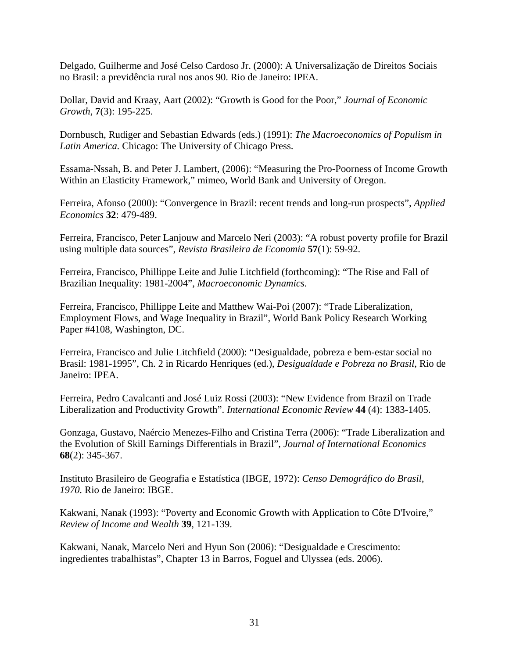Delgado, Guilherme and José Celso Cardoso Jr. (2000): A Universalização de Direitos Sociais no Brasil: a previdência rural nos anos 90. Rio de Janeiro: IPEA.

Dollar, David and Kraay, Aart (2002): "Growth is Good for the Poor," *Journal of Economic Growth*, **7**(3): 195-225.

Latin America. Chicago: The University of Chicago Press. Dornbusch, Rudiger and Sebastian Edwards (eds.) (1991): *The Macroeconomics of Populism in* 

Within an Elasticity Framework," mimeo, World Bank and University of Oregon. Essama-Nssah, B. and Peter J. Lambert, (2006): "Measuring the Pro-Poorness of Income Growth

Ferreira, Afonso (2000): "Convergence in Brazil: recent trends and long-run prospects", *Applied Economics* **32**: 479-489.

Ferreira, Francisco, Peter Lanjouw and Marcelo Neri (2003): "A robust poverty profile for Brazil using multiple data sources", *Revista Brasileira de Economia* **57**(1): 59-92.

Ferreira, Francisco, Phillippe Leite and Julie Litchfield (forthcoming): "The Rise and Fall of Brazilian Inequality: 1981-2004", *Macroeconomic Dynamics*.

Ferreira, Francisco, Phillippe Leite and Matthew Wai-Poi (2007): "Trade Liberalization, Employment Flows, and Wage Inequality in Brazil", World Bank Policy Research Working Paper #4108, Washington, DC.

Brasil: 1981-1995", Ch. 2 in Ricardo Henriques (ed.), *Desigualdade e Pobreza no Brasil*, Rio de Janeiro: IPEA. Ferreira, Francisco and Julie Litchfield (2000): "Desigualdade, pobreza e bem-estar social no

Liberalization and Productivity Growth". *International Economic Review* 44 (4): 1383-1405. Ferreira, Pedro Cavalcanti and José Luiz Rossi (2003): "New Evidence from Brazil on Trade

Gonzaga, Gustavo, Naércio Menezes-Filho and Cristina Terra (2006): "Trade Liberalization and the Evolution of Skill Earnings Differentials in Brazil", *Journal of International Economics* **68**(2): 345-367.

Instituto Brasileiro de Geografia e Estatística (IBGE, 1972): Censo Demográfico do Brasil, *1970.* Rio de Janeiro: IBGE.

Kakwani, Nanak (1993): "Poverty and Economic Growth with Application to Côte D'Ivoire," *Review of Income and Wealth* **39**, 121-139.

Kakwani, Nanak, Marcelo Neri and Hyun Son (2006): "Desigualdade e Crescimento: ingredientes trabalhistas", Chapter 13 in Barros, Foguel and Ulyssea (eds. 2006).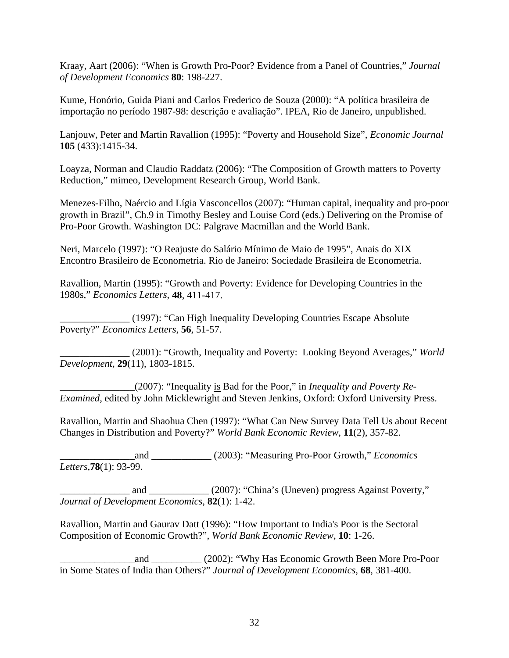Kraay, Aart (2006): "When is Growth Pro-Poor? Evidence from a Panel of Countries," *Journal of Development Economics* **80**: 198-227.

Kume, Honório, Guida Piani and Carlos Frederico de Souza (2000): "A política brasileira de importação no período 1987-98: descrição e avaliação". IPEA, Rio de Janeiro, unpublished.

Lanjouw, Peter and Martin Ravallion (1995): "Poverty and Household Size", *Economic Journal* **105** (433):1415-34.

Loayza, Norman and Claudio Raddatz (2006): "The Composition of Growth matters to Poverty Reduction," mimeo, Development Research Group, World Bank.

Menezes-Filho, Naércio and Lígia Vasconcellos (2007): "Human capital, inequality and pro-poor growth in Brazil", Ch.9 in Timothy Besley and Louise Cord (eds.) Delivering on the Promise of Pro-Poor Growth. Washington DC: Palgrave Macmillan and the World Bank.

Neri, Marcelo (1997): "O Reajuste do Salário Mínimo de Maio de 1995", Anais do XIX Encontro Brasileiro de Econometria. Rio de Janeiro: Sociedade Brasileira de Econometria.

Ravallion, Martin (1995): "Growth and Poverty: Evidence for Developing Countries in the 1980s," *Economics Letters*, **48**, 411-417.

\_\_\_\_\_\_\_\_\_\_\_\_\_\_ (1997): "Can High Inequality Developing Countries Escape Absolute Poverty?" *Economics Letters*, **56**, 51-57.

\_\_\_\_\_\_\_\_\_\_\_\_\_\_ (2001): "Growth, Inequality and Poverty: Looking Beyond Averages," *World Development*, **29**(11), 1803-1815.

\_\_\_\_\_\_\_\_\_\_\_\_\_\_\_(2007): "Inequality is Bad for the Poor," in *Inequality and Poverty Re-Examined*, edited by John Micklewright and Steven Jenkins, Oxford: Oxford University Press.

Ravallion, Martin and Shaohua Chen (1997): "What Can New Survey Data Tell Us about Recent Changes in Distribution and Poverty?" *World Bank Economic Review*, **11**(2), 357-82.

\_\_\_\_\_\_\_\_\_\_\_\_\_\_\_and \_\_\_\_\_\_\_\_\_\_\_\_ (2003): "Measuring Pro-Poor Growth," *Economics Letters*,**78**(1): 93-99.

and \_\_\_\_\_\_\_\_\_\_\_ (2007): "China's (Uneven) progress Against Poverty," *Journal of Development Economics*, **82**(1): 1-42.

Ravallion, Martin and Gaurav Datt (1996): "How Important to India's Poor is the Sectoral Composition of Economic Growth?", *World Bank Economic Review*, **10**: 1-26.

and (2002): "Why Has Economic Growth Been More Pro-Poor in Some States of India than Others?" *Journal of Development Economics*, **68**, 381-400.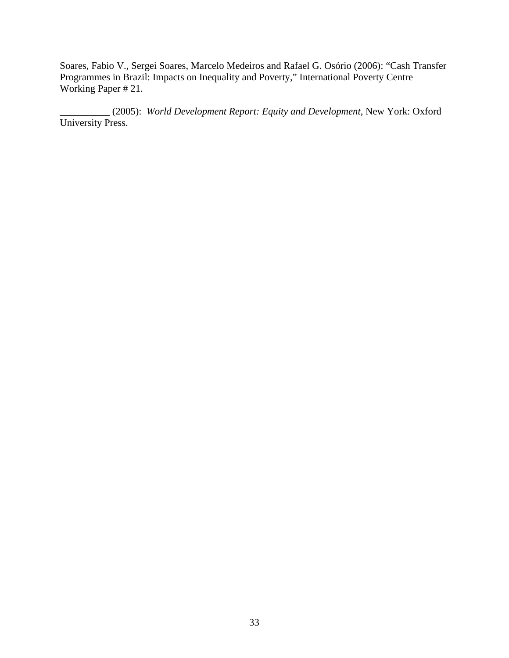Soares, Fabio V., Sergei Soares, Marcelo Medeiros and Rafael G. Osório (2006): "Cash Transfer Programmes in Brazil: Impacts on Inequality and Poverty," International Poverty Centre Working Paper # 21.

(2005): *World Development Report: Equity and Development*, New York: Oxford University Press.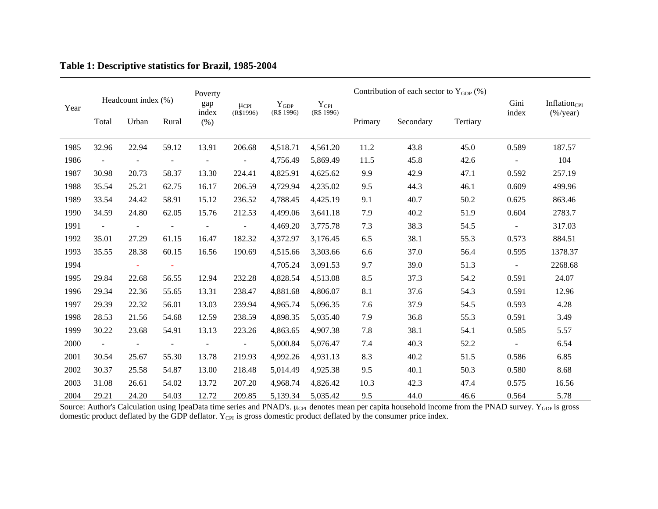| Headcount index (%) |                      |       |                          | Poverty              |                              |                         |                             |      | Contribution of each sector to $Y_{GDP}$ (%) |          |                |                                                   |
|---------------------|----------------------|-------|--------------------------|----------------------|------------------------------|-------------------------|-----------------------------|------|----------------------------------------------|----------|----------------|---------------------------------------------------|
| Year                | Total                | Urban | Rural                    | gap<br>index<br>(% ) | $\mu_{\rm CPL}$<br>(R\$1996) | $Y_{GDP}$<br>(R\$ 1996) | $Y_{\rm CPI}$<br>(R\$ 1996) |      | Secondary                                    | Tertiary | Gini<br>index  | Inflation <sub>CPI</sub><br>$(\frac{9}{6}$ /year) |
| 1985                | 32.96                | 22.94 | 59.12                    | 13.91                | 206.68                       | 4,518.71                | 4,561.20                    | 11.2 | 43.8                                         | 45.0     | 0.589          | 187.57                                            |
| 1986                | $\ddot{\phantom{1}}$ |       |                          |                      | $\blacksquare$               | 4,756.49                | 5,869.49                    | 11.5 | 45.8                                         | 42.6     | $\blacksquare$ | 104                                               |
| 1987                | 30.98                | 20.73 | 58.37                    | 13.30                | 224.41                       | 4,825.91                | 4,625.62                    | 9.9  | 42.9                                         | 47.1     | 0.592          | 257.19                                            |
| 1988                | 35.54                | 25.21 | 62.75                    | 16.17                | 206.59                       | 4,729.94                | 4,235.02                    | 9.5  | 44.3                                         | 46.1     | 0.609          | 499.96                                            |
| 1989                | 33.54                | 24.42 | 58.91                    | 15.12                | 236.52                       | 4,788.45                | 4,425.19                    | 9.1  | 40.7                                         | 50.2     | 0.625          | 863.46                                            |
| 1990                | 34.59                | 24.80 | 62.05                    | 15.76                | 212.53                       | 4,499.06                | 3,641.18                    | 7.9  | 40.2                                         | 51.9     | 0.604          | 2783.7                                            |
| 1991                | $\blacksquare$       |       | $\overline{\phantom{a}}$ |                      | $\blacksquare$               | 4,469.20                | 3,775.78                    | 7.3  | 38.3                                         | 54.5     | $\blacksquare$ | 317.03                                            |
| 1992                | 35.01                | 27.29 | 61.15                    | 16.47                | 182.32                       | 4,372.97                | 3,176.45                    | 6.5  | 38.1                                         | 55.3     | 0.573          | 884.51                                            |
| 1993                | 35.55                | 28.38 | 60.15                    | 16.56                | 190.69                       | 4,515.66                | 3,303.66                    | 6.6  | 37.0                                         | 56.4     | 0.595          | 1378.37                                           |
| 1994                |                      |       |                          |                      |                              | 4,705.24                | 3,091.53                    | 9.7  | 39.0                                         | 51.3     | $\omega$       | 2268.68                                           |
| 1995                | 29.84                | 22.68 | 56.55                    | 12.94                | 232.28                       | 4,828.54                | 4,513.08                    | 8.5  | 37.3                                         | 54.2     | 0.591          | 24.07                                             |
| 1996                | 29.34                | 22.36 | 55.65                    | 13.31                | 238.47                       | 4,881.68                | 4,806.07                    | 8.1  | 37.6                                         | 54.3     | 0.591          | 12.96                                             |
| 1997                | 29.39                | 22.32 | 56.01                    | 13.03                | 239.94                       | 4,965.74                | 5,096.35                    | 7.6  | 37.9                                         | 54.5     | 0.593          | 4.28                                              |
| 1998                | 28.53                | 21.56 | 54.68                    | 12.59                | 238.59                       | 4,898.35                | 5,035.40                    | 7.9  | 36.8                                         | 55.3     | 0.591          | 3.49                                              |
| 1999                | 30.22                | 23.68 | 54.91                    | 13.13                | 223.26                       | 4,863.65                | 4,907.38                    | 7.8  | 38.1                                         | 54.1     | 0.585          | 5.57                                              |
| 2000                | $\blacksquare$       |       | $\blacksquare$           |                      | $\overline{\phantom{a}}$     | 5,000.84                | 5,076.47                    | 7.4  | 40.3                                         | 52.2     | $\blacksquare$ | 6.54                                              |
| 2001                | 30.54                | 25.67 | 55.30                    | 13.78                | 219.93                       | 4,992.26                | 4,931.13                    | 8.3  | 40.2                                         | 51.5     | 0.586          | 6.85                                              |
| 2002                | 30.37                | 25.58 | 54.87                    | 13.00                | 218.48                       | 5,014.49                | 4,925.38                    | 9.5  | 40.1                                         | 50.3     | 0.580          | 8.68                                              |
| 2003                | 31.08                | 26.61 | 54.02                    | 13.72                | 207.20                       | 4,968.74                | 4,826.42                    | 10.3 | 42.3                                         | 47.4     | 0.575          | 16.56                                             |
| 2004                | 29.21                | 24.20 | 54.03                    | 12.72                | 209.85                       | 5,139.34                | 5,035.42                    | 9.5  | 44.0                                         | 46.6     | 0.564          | 5.78                                              |

### **Table 1: Descriptive statistics for Brazil, 1985-2004**

Source: Author's Calculation using IpeaData time series and PNAD's.  $\mu_{\text{CPI}}$  denotes mean per capita household income from the PNAD survey.  $Y_{\text{GDP}}$  is gross domestic product deflated by the GDP deflator.  $Y_{CPI}$  is gross domestic product deflated by the consumer price index.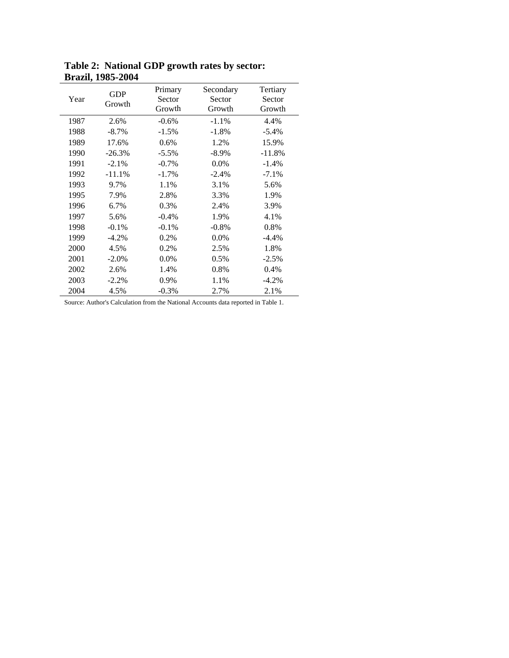|      | DIUMIŅ 1700 SVVT     |                             |                               |                              |
|------|----------------------|-----------------------------|-------------------------------|------------------------------|
| Year | <b>GDP</b><br>Growth | Primary<br>Sector<br>Growth | Secondary<br>Sector<br>Growth | Tertiary<br>Sector<br>Growth |
| 1987 | 2.6%                 | $-0.6%$                     | $-1.1%$                       | 4.4%                         |
| 1988 | $-8.7%$              | $-1.5%$                     | $-1.8%$                       | $-5.4%$                      |
| 1989 | 17.6%                | 0.6%                        | 1.2%                          | 15.9%                        |
| 1990 | $-26.3%$             | $-5.5%$                     | $-8.9\%$                      | $-11.8%$                     |
| 1991 | $-2.1%$              | $-0.7\%$                    | 0.0%                          | $-1.4%$                      |
| 1992 | $-11.1%$             | $-1.7%$                     | $-2.4%$                       | $-7.1%$                      |
| 1993 | 9.7%                 | 1.1%                        | 3.1%                          | 5.6%                         |
| 1995 | 7.9%                 | 2.8%                        | 3.3%                          | 1.9%                         |
| 1996 | 6.7%                 | 0.3%                        | 2.4%                          | 3.9%                         |
| 1997 | 5.6%                 | $-0.4%$                     | 1.9%                          | 4.1%                         |
| 1998 | $-0.1%$              | $-0.1%$                     | $-0.8%$                       | 0.8%                         |
| 1999 | $-4.2\%$             | 0.2%                        | 0.0%                          | $-4.4%$                      |
| 2000 | 4.5%                 | 0.2%                        | 2.5%                          | 1.8%                         |
| 2001 | $-2.0\%$             | 0.0%                        | 0.5%                          | $-2.5%$                      |
| 2002 | 2.6%                 | 1.4%                        | 0.8%                          | 0.4%                         |
| 2003 | $-2.2%$              | 0.9%                        | 1.1%                          | $-4.2%$                      |
| 2004 | 4.5%                 | $-0.3%$                     | 2.7%                          | 2.1%                         |

**Table 2: National GDP growth rates by sector: Brazil, 1985-2004**

Source: Author's Calculation from the National Accounts data reported in Table 1.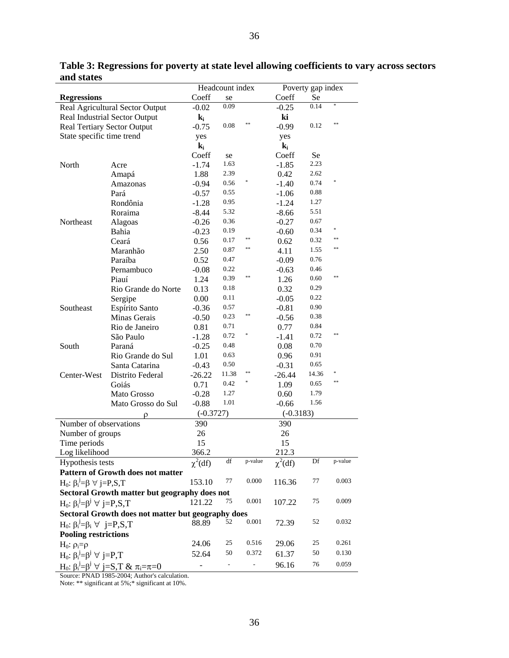| Coeff<br><b>Regressions</b><br>Coeff<br>Se<br>se<br>*<br>0.09<br>0.14<br>Real Agricultural Sector Output<br>$-0.25$<br>$-0.02$<br>ki<br>Real Industrial Sector Output<br>$\mathbf{k_i}$<br>$**$<br>$**$<br>0.08<br>0.12<br><b>Real Tertiary Sector Output</b><br>$-0.75$<br>$-0.99$<br>State specific time trend<br>yes<br>yes<br>$\mathbf{k_i}$<br>$\mathbf{k_i}$<br>Coeff<br>Coeff<br>Se<br>se<br>2.23<br>1.63<br>North<br>$-1.74$<br>$-1.85$<br>Acre<br>2.62<br>2.39<br>0.42<br>1.88<br>Amapá<br>*<br>0.74<br>0.56<br>$-0.94$<br>Amazonas<br>$-1.40$<br>0.88<br>0.55<br>Pará<br>$-0.57$<br>$-1.06$<br>0.95<br>1.27<br>Rondônia<br>$-1.28$<br>$-1.24$<br>5.32<br>5.51<br>Roraima<br>$-8.44$<br>$-8.66$<br>0.36<br>0.67<br>Northeast<br>Alagoas<br>$-0.26$<br>$-0.27$<br>* |
|-----------------------------------------------------------------------------------------------------------------------------------------------------------------------------------------------------------------------------------------------------------------------------------------------------------------------------------------------------------------------------------------------------------------------------------------------------------------------------------------------------------------------------------------------------------------------------------------------------------------------------------------------------------------------------------------------------------------------------------------------------------------------------|
|                                                                                                                                                                                                                                                                                                                                                                                                                                                                                                                                                                                                                                                                                                                                                                             |
|                                                                                                                                                                                                                                                                                                                                                                                                                                                                                                                                                                                                                                                                                                                                                                             |
|                                                                                                                                                                                                                                                                                                                                                                                                                                                                                                                                                                                                                                                                                                                                                                             |
|                                                                                                                                                                                                                                                                                                                                                                                                                                                                                                                                                                                                                                                                                                                                                                             |
|                                                                                                                                                                                                                                                                                                                                                                                                                                                                                                                                                                                                                                                                                                                                                                             |
|                                                                                                                                                                                                                                                                                                                                                                                                                                                                                                                                                                                                                                                                                                                                                                             |
|                                                                                                                                                                                                                                                                                                                                                                                                                                                                                                                                                                                                                                                                                                                                                                             |
|                                                                                                                                                                                                                                                                                                                                                                                                                                                                                                                                                                                                                                                                                                                                                                             |
|                                                                                                                                                                                                                                                                                                                                                                                                                                                                                                                                                                                                                                                                                                                                                                             |
|                                                                                                                                                                                                                                                                                                                                                                                                                                                                                                                                                                                                                                                                                                                                                                             |
|                                                                                                                                                                                                                                                                                                                                                                                                                                                                                                                                                                                                                                                                                                                                                                             |
|                                                                                                                                                                                                                                                                                                                                                                                                                                                                                                                                                                                                                                                                                                                                                                             |
|                                                                                                                                                                                                                                                                                                                                                                                                                                                                                                                                                                                                                                                                                                                                                                             |
|                                                                                                                                                                                                                                                                                                                                                                                                                                                                                                                                                                                                                                                                                                                                                                             |
| 0.19<br>0.34<br>Bahia<br>$-0.23$<br>$-0.60$                                                                                                                                                                                                                                                                                                                                                                                                                                                                                                                                                                                                                                                                                                                                 |
| **<br>**<br>0.17<br>0.32<br>Ceará<br>0.56<br>0.62                                                                                                                                                                                                                                                                                                                                                                                                                                                                                                                                                                                                                                                                                                                           |
| **<br>$**$<br>0.87<br>1.55<br>Maranhão<br>2.50<br>4.11                                                                                                                                                                                                                                                                                                                                                                                                                                                                                                                                                                                                                                                                                                                      |
| 0.76<br>0.47<br>Paraíba<br>0.52<br>$-0.09$                                                                                                                                                                                                                                                                                                                                                                                                                                                                                                                                                                                                                                                                                                                                  |
| 0.22<br>0.46<br>$-0.08$<br>Pernambuco<br>$-0.63$                                                                                                                                                                                                                                                                                                                                                                                                                                                                                                                                                                                                                                                                                                                            |
| $**$<br>**<br>0.39<br>0.60<br>Piauí<br>1.24<br>1.26                                                                                                                                                                                                                                                                                                                                                                                                                                                                                                                                                                                                                                                                                                                         |
| 0.18<br>0.29<br>0.32<br>Rio Grande do Norte<br>0.13                                                                                                                                                                                                                                                                                                                                                                                                                                                                                                                                                                                                                                                                                                                         |
| 0.22<br>0.11<br>0.00<br>$-0.05$<br>Sergipe                                                                                                                                                                                                                                                                                                                                                                                                                                                                                                                                                                                                                                                                                                                                  |
| 0.90<br>0.57<br>Southeast<br>Espírito Santo<br>$-0.36$<br>$-0.81$                                                                                                                                                                                                                                                                                                                                                                                                                                                                                                                                                                                                                                                                                                           |
| $* *$<br>0.38<br>0.23<br>Minas Gerais<br>$-0.50$<br>$-0.56$                                                                                                                                                                                                                                                                                                                                                                                                                                                                                                                                                                                                                                                                                                                 |
| 0.84<br>0.71<br>Rio de Janeiro<br>0.81<br>0.77                                                                                                                                                                                                                                                                                                                                                                                                                                                                                                                                                                                                                                                                                                                              |
| $**$<br>0.72<br>0.72<br>São Paulo<br>$-1.28$<br>$-1.41$                                                                                                                                                                                                                                                                                                                                                                                                                                                                                                                                                                                                                                                                                                                     |
| 0.70<br>0.48<br>South<br>Paraná<br>$-0.25$<br>0.08                                                                                                                                                                                                                                                                                                                                                                                                                                                                                                                                                                                                                                                                                                                          |
| 0.91<br>0.63<br>Rio Grande do Sul<br>1.01<br>0.96                                                                                                                                                                                                                                                                                                                                                                                                                                                                                                                                                                                                                                                                                                                           |
| 0.50<br>0.65<br>Santa Catarina<br>$-0.31$<br>$-0.43$                                                                                                                                                                                                                                                                                                                                                                                                                                                                                                                                                                                                                                                                                                                        |
| *<br>14.36<br>11.38<br>Center-West<br>Distrito Federal<br>$-26.22$<br>$-26.44$                                                                                                                                                                                                                                                                                                                                                                                                                                                                                                                                                                                                                                                                                              |
| $**$<br>0.42<br>0.65<br>Goiás<br>0.71<br>1.09                                                                                                                                                                                                                                                                                                                                                                                                                                                                                                                                                                                                                                                                                                                               |
| 1.79<br>1.27<br>Mato Grosso<br>$-0.28$<br>0.60                                                                                                                                                                                                                                                                                                                                                                                                                                                                                                                                                                                                                                                                                                                              |
| 1.56<br>1.01<br>Mato Grosso do Sul<br>$-0.88$<br>$-0.66$                                                                                                                                                                                                                                                                                                                                                                                                                                                                                                                                                                                                                                                                                                                    |
| $(-0.3727)$<br>$(-0.3183)$                                                                                                                                                                                                                                                                                                                                                                                                                                                                                                                                                                                                                                                                                                                                                  |
| ρ<br>Number of observations<br>390<br>390                                                                                                                                                                                                                                                                                                                                                                                                                                                                                                                                                                                                                                                                                                                                   |
| 26<br>26<br>Number of groups                                                                                                                                                                                                                                                                                                                                                                                                                                                                                                                                                                                                                                                                                                                                                |
| 15<br>15<br>Time periods                                                                                                                                                                                                                                                                                                                                                                                                                                                                                                                                                                                                                                                                                                                                                    |
| 366.2<br>212.3<br>Log likelihood                                                                                                                                                                                                                                                                                                                                                                                                                                                                                                                                                                                                                                                                                                                                            |
| df<br>p-value<br>Df<br>p-value<br>Hypothesis tests                                                                                                                                                                                                                                                                                                                                                                                                                                                                                                                                                                                                                                                                                                                          |
| $\chi^2(df)$<br>$\chi^2(df)$<br>Pattern of Growth does not matter                                                                                                                                                                                                                                                                                                                                                                                                                                                                                                                                                                                                                                                                                                           |
| 0.000<br>77<br>0.003<br>77<br>153.10<br>116.36                                                                                                                                                                                                                                                                                                                                                                                                                                                                                                                                                                                                                                                                                                                              |
| $H_0$ : $\beta_i^j = \beta \ \forall j = P, S, T$                                                                                                                                                                                                                                                                                                                                                                                                                                                                                                                                                                                                                                                                                                                           |
| Sectoral Growth matter but geography does not                                                                                                                                                                                                                                                                                                                                                                                                                                                                                                                                                                                                                                                                                                                               |
| 0.001<br>75<br>0.009<br>75<br>121.22<br>107.22<br>$H_0: \beta_i^j = \beta^j \; \forall j = P,S,T$                                                                                                                                                                                                                                                                                                                                                                                                                                                                                                                                                                                                                                                                           |
| Sectoral Growth does not matter but geography does                                                                                                                                                                                                                                                                                                                                                                                                                                                                                                                                                                                                                                                                                                                          |
| 0.001<br>0.032<br>52<br>52<br>88.89<br>72.39<br>$H_0: \beta_i^j = \beta_i \ \forall j = P, S, T$                                                                                                                                                                                                                                                                                                                                                                                                                                                                                                                                                                                                                                                                            |
| <b>Pooling restrictions</b>                                                                                                                                                                                                                                                                                                                                                                                                                                                                                                                                                                                                                                                                                                                                                 |
| 25<br>0.516<br>25<br>0.261<br>29.06<br>24.06<br>$H_0$ : $\rho_i = \rho$                                                                                                                                                                                                                                                                                                                                                                                                                                                                                                                                                                                                                                                                                                     |
| 50<br>0.372<br>50<br>0.130<br>$H_0: \beta_i^j = \beta^j \; \forall j = P, T$<br>52.64<br>61.37                                                                                                                                                                                                                                                                                                                                                                                                                                                                                                                                                                                                                                                                              |
| 76<br>0.059<br>$H_0: \beta_i^j = \beta^j \; \forall \; j = S, T \; \& \; \pi_i = \pi = 0$<br>$\frac{1}{2}$<br>96.16<br>-                                                                                                                                                                                                                                                                                                                                                                                                                                                                                                                                                                                                                                                    |

**Table 3: Regressions for poverty at state level allowing coefficients to vary across sectors and states**

S ource: PNAD 1985-2004; Author's calculation. Note: \*\* significant at 5%;\* significant at 10%.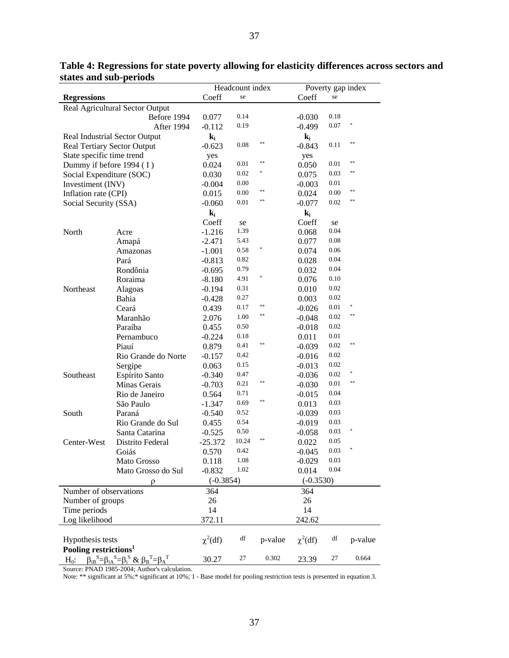|                                    |                                                                    | Headcount index |       | Poverty gap index |                |          |            |
|------------------------------------|--------------------------------------------------------------------|-----------------|-------|-------------------|----------------|----------|------------|
| <b>Regressions</b>                 |                                                                    | Coeff           | se    |                   | Coeff          | se       |            |
|                                    | Real Agricultural Sector Output                                    |                 |       |                   |                |          |            |
|                                    | Before 1994                                                        | 0.077           | 0.14  |                   | $-0.030$       | 0.18     |            |
|                                    | After 1994                                                         | $-0.112$        | 0.19  |                   | $-0.499$       | 0.07     | $\ast$     |
|                                    | Real Industrial Sector Output                                      | $\mathbf{k_i}$  |       |                   | $\mathbf{k_i}$ |          |            |
| <b>Real Tertiary Sector Output</b> |                                                                    | $-0.623$        | 0.08  | $**$              | $-0.843$       | 0.11     | $\ast\ast$ |
| State specific time trend          |                                                                    | yes             |       |                   | yes            |          |            |
| Dummy if before 1994 (I)           |                                                                    | 0.024           | 0.01  | $**$              | 0.050          | 0.01     | $* *$      |
| Social Expenditure (SOC)           |                                                                    | 0.030           | 0.02  | *                 | 0.075          | 0.03     | **         |
| Investiment (INV)                  |                                                                    | $-0.004$        | 0.00  |                   | $-0.003$       | 0.01     |            |
| Inflation rate (CPI)               |                                                                    | 0.015           | 0.00  | $**$              | 0.024          | 0.00     | **         |
| Social Security (SSA)              |                                                                    | $-0.060$        | 0.01  | $**$              | $-0.077$       | 0.02     | $* *$      |
|                                    |                                                                    | $\mathbf{k_i}$  |       |                   | $\mathbf{k_i}$ |          |            |
|                                    |                                                                    | Coeff           | se    |                   | Coeff          | se       |            |
| North                              | Acre                                                               | $-1.216$        | 1.39  |                   | 0.068          | 0.04     |            |
|                                    | Amapá                                                              | $-2.471$        | 5.43  |                   | 0.077          | 0.08     |            |
|                                    | Amazonas                                                           | $-1.001$        | 0.58  |                   | 0.074          | 0.06     |            |
|                                    | Pará                                                               | $-0.813$        | 0.82  |                   | 0.028          | 0.04     |            |
|                                    | Rondônia                                                           | $-0.695$        | 0.79  |                   | 0.032          | 0.04     |            |
|                                    | Roraima                                                            | $-8.180$        | 4.91  |                   | 0.076          | 0.10     |            |
| Northeast                          | Alagoas                                                            | $-0.194$        | 0.31  |                   | 0.010          | 0.02     |            |
|                                    | Bahia                                                              | $-0.428$        | 0.27  |                   | 0.003          | 0.02     |            |
|                                    | Ceará                                                              | 0.439           | 0.17  | $**$              | $-0.026$       | $0.01\,$ |            |
|                                    | Maranhão                                                           | 2.076           | 1.00  | $**$              | $-0.048$       | 0.02     | **         |
|                                    | Paraíba                                                            | 0.455           | 0.50  |                   | $-0.018$       | 0.02     |            |
|                                    | Pernambuco                                                         | $-0.224$        | 0.18  |                   | 0.011          | 0.01     |            |
|                                    | Piauí                                                              | 0.879           | 0.41  | $**$              | $-0.039$       | 0.02     | $\ast\ast$ |
|                                    | Rio Grande do Norte                                                | $-0.157$        | 0.42  |                   | $-0.016$       | 0.02     |            |
|                                    | Sergipe                                                            | 0.063           | 0.15  |                   | $-0.013$       | 0.02     |            |
| Southeast                          | Espírito Santo                                                     | $-0.340$        | 0.47  |                   | $-0.036$       | 0.02     | *          |
|                                    | Minas Gerais                                                       | $-0.703$        | 0.21  | $**$              | $-0.030$       | 0.01     | **         |
|                                    | Rio de Janeiro                                                     | 0.564           | 0.71  |                   | $-0.015$       | 0.04     |            |
|                                    | São Paulo                                                          | $-1.347$        | 0.69  | $**$              | 0.013          | 0.03     |            |
| South                              | Paraná                                                             | $-0.540$        | 0.52  |                   | $-0.039$       | 0.03     |            |
|                                    | Rio Grande do Sul                                                  | 0.455           | 0.54  |                   | $-0.019$       | 0.03     |            |
|                                    | Santa Catarina                                                     | $-0.525$        | 0.50  |                   | $-0.058$       | 0.03     | *          |
| Center-West                        | Distrito Federal                                                   | $-25.372$       | 10.24 | $**$              | 0.022          | 0.05     |            |
|                                    | Goiás                                                              | 0.570           | 0.42  |                   | $-0.045$       | 0.03     | *          |
|                                    | Mato Grosso                                                        | 0.118           | 1.08  |                   | $-0.029$       | 0.03     |            |
|                                    | Mato Grosso do Sul                                                 | $-0.832$        | 1.02  |                   | 0.014          | 0.04     |            |
|                                    |                                                                    | $(-0.3854)$     |       |                   | $(-0.3530)$    |          |            |
|                                    | ρ                                                                  |                 |       |                   |                |          |            |
| Number of observations             |                                                                    | 364             |       |                   | 364            |          |            |
| Number of groups                   |                                                                    | 26              |       |                   | 26             |          |            |
| Time periods                       |                                                                    | 14              |       |                   | 14             |          |            |
| Log likelihood                     |                                                                    | 372.11          |       |                   | 242.62         |          |            |
|                                    |                                                                    |                 |       |                   |                |          |            |
| Hypothesis tests                   |                                                                    | $\chi^2(df)$    | df    | p-value           | $\chi^2(df)$   | df       | p-value    |
| Pooling restrictions <sup>1</sup>  |                                                                    |                 |       |                   |                |          |            |
| $H_0$ :                            | $\beta_{iB}^S = \beta_{iA}^S = \beta_i^S \& \beta_B^T = \beta_A^T$ | 30.27           | 27    | 0.302             | 23.39          | 27       | 0.664      |

**Table 4: Regressions for state poverty allowing for elasticity differences across sectors and states and sub-periods** 

Source: PNAD 1985-2004; Author's calculation.

Note: \*\* significant at 5%;\* significant at 10%; 1 - Base model for pooling restriction tests is presented in equation 3.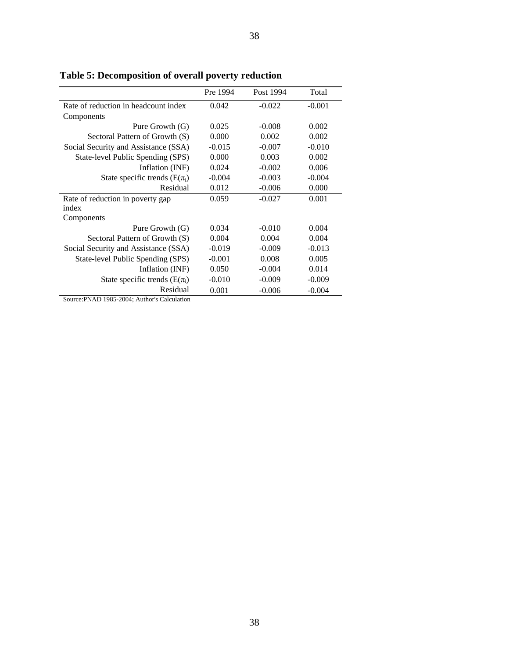|                                      | Pre 1994 | Post 1994 | Total    |
|--------------------------------------|----------|-----------|----------|
| Rate of reduction in headcount index | 0.042    | $-0.022$  | $-0.001$ |
| Components                           |          |           |          |
| Pure Growth (G)                      | 0.025    | $-0.008$  | 0.002    |
| Sectoral Pattern of Growth (S)       | 0.000    | 0.002     | 0.002    |
| Social Security and Assistance (SSA) | $-0.015$ | $-0.007$  | $-0.010$ |
| State-level Public Spending (SPS)    | 0.000    | 0.003     | 0.002    |
| Inflation (INF)                      | 0.024    | $-0.002$  | 0.006    |
| State specific trends ( $E(\pi_i)$ ) | $-0.004$ | $-0.003$  | $-0.004$ |
| Residual                             | 0.012    | $-0.006$  | 0.000    |
| Rate of reduction in poverty gap     | 0.059    | $-0.027$  | 0.001    |
| index                                |          |           |          |
| Components                           |          |           |          |
| Pure Growth (G)                      | 0.034    | $-0.010$  | 0.004    |
| Sectoral Pattern of Growth (S)       | 0.004    | 0.004     | 0.004    |
| Social Security and Assistance (SSA) | $-0.019$ | $-0.009$  | $-0.013$ |
| State-level Public Spending (SPS)    | $-0.001$ | 0.008     | 0.005    |
| Inflation (INF)                      | 0.050    | $-0.004$  | 0.014    |
| State specific trends ( $E(\pi_i)$ ) | $-0.010$ | $-0.009$  | $-0.009$ |
| Residual                             | 0.001    | $-0.006$  | $-0.004$ |

38

**Table 5: Decomposition of overall poverty reduction**

Source:PNAD 1985-2004; Author's Calculation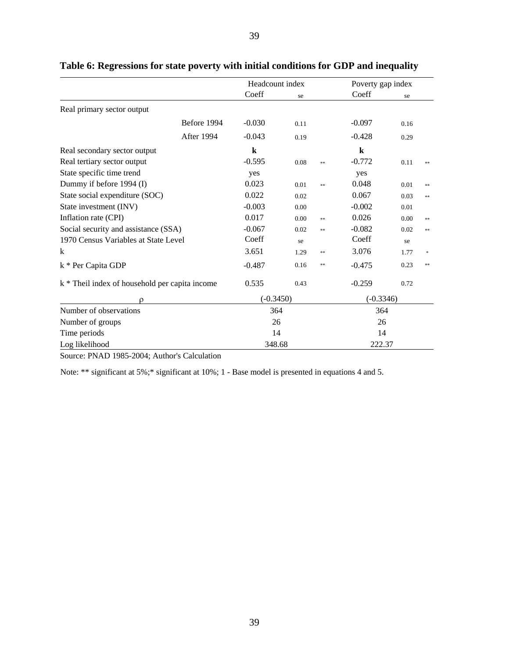|                                                |             | Headcount index |      |    | Poverty gap index |      |       |  |
|------------------------------------------------|-------------|-----------------|------|----|-------------------|------|-------|--|
|                                                |             | Coeff           | se   |    | Coeff             | se   |       |  |
| Real primary sector output                     |             |                 |      |    |                   |      |       |  |
|                                                | Before 1994 | $-0.030$        | 0.11 |    | $-0.097$          | 0.16 |       |  |
|                                                | After 1994  | $-0.043$        | 0.19 |    | $-0.428$          | 0.29 |       |  |
| Real secondary sector output                   |             | $\bf k$         |      |    | $\bf k$           |      |       |  |
| Real tertiary sector output                    |             | $-0.595$        | 0.08 | ** | $-0.772$          | 0.11 | **    |  |
| State specific time trend                      |             | yes             |      |    | yes               |      |       |  |
| Dummy if before 1994 (I)                       |             | 0.023           | 0.01 | ** | 0.048             | 0.01 | $**$  |  |
| State social expenditure (SOC)                 |             | 0.022           | 0.02 |    | 0.067             | 0.03 | $**$  |  |
| State investment (INV)                         |             | $-0.003$        | 0.00 |    | $-0.002$          | 0.01 |       |  |
| Inflation rate (CPI)                           |             | 0.017           | 0.00 | ** | 0.026             | 0.00 | $**$  |  |
| Social security and assistance (SSA)           |             | $-0.067$        | 0.02 | ** | $-0.082$          | 0.02 | $***$ |  |
| 1970 Census Variables at State Level           |             | Coeff           | se   |    | Coeff             | se   |       |  |
| k                                              |             | 3.651           | 1.29 | ** | 3.076             | 1.77 |       |  |
| k * Per Capita GDP                             |             | $-0.487$        | 0.16 | ** | $-0.475$          | 0.23 | **    |  |
| k * Theil index of household per capita income |             | 0.535           | 0.43 |    | $-0.259$          | 0.72 |       |  |
| ρ                                              |             | $(-0.3450)$     |      |    | $(-0.3346)$       |      |       |  |
| Number of observations                         |             | 364             |      |    | 364               |      |       |  |
| Number of groups                               |             | 26              |      |    | 26                |      |       |  |
| Time periods                                   |             | 14              |      |    | 14                |      |       |  |
| Log likelihood                                 |             | 348.68          |      |    | 222.37            |      |       |  |

### **Table 6: Regressions for state poverty with initial conditions for GDP and inequality**

Source: PNAD 1985-2004; Author's Calculation

Note: \*\* significant at  $5\%$ ; \* significant at  $10\%$ ; 1 - Base model is presented in equations 4 and 5.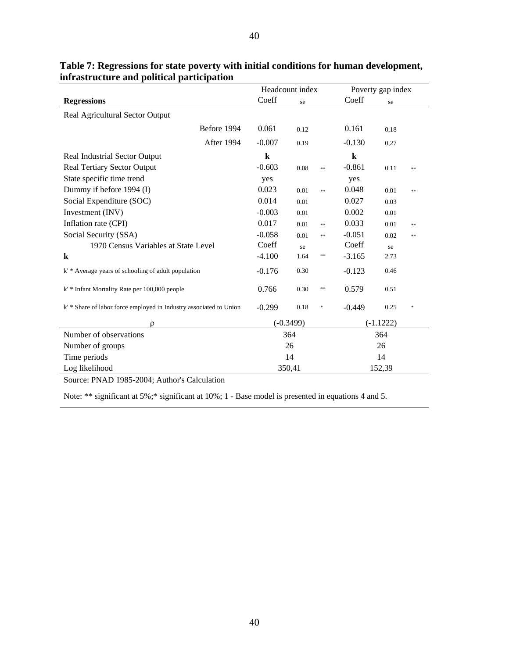|                                                                    |          | Headcount index    | Poverty gap index |             |       |  |  |
|--------------------------------------------------------------------|----------|--------------------|-------------------|-------------|-------|--|--|
| <b>Regressions</b>                                                 | Coeff    | se                 | Coeff             | se          |       |  |  |
| Real Agricultural Sector Output                                    |          |                    |                   |             |       |  |  |
| Before 1994                                                        | 0.061    | 0.12               | 0.161             | 0.18        |       |  |  |
| After 1994                                                         | $-0.007$ | 0.19               | $-0.130$          | 0,27        |       |  |  |
| Real Industrial Sector Output                                      | $\bf k$  |                    | $\bf k$           |             |       |  |  |
| <b>Real Tertiary Sector Output</b>                                 | $-0.603$ | 0.08<br>$**$       | $-0.861$          | 0.11        | $***$ |  |  |
| State specific time trend                                          | yes      |                    | yes               |             |       |  |  |
| Dummy if before 1994 (I)                                           | 0.023    | 0.01<br>$\ast\ast$ | 0.048             | 0.01        | $***$ |  |  |
| Social Expenditure (SOC)                                           | 0.014    | 0.01               | 0.027             | 0.03        |       |  |  |
| Investment (INV)                                                   | $-0.003$ | 0.01               | 0.002             | 0.01        |       |  |  |
| Inflation rate (CPI)                                               | 0.017    | 0.01<br>$**$       | 0.033             | 0.01        | $* *$ |  |  |
| Social Security (SSA)                                              | $-0.058$ | 0.01<br>$**$       | $-0.051$          | 0.02        | $* *$ |  |  |
| 1970 Census Variables at State Level                               | Coeff    | se                 | Coeff             | se          |       |  |  |
| $\bf k$                                                            | $-4.100$ | 1.64<br>**         | $-3.165$          | 2.73        |       |  |  |
| k' * Average years of schooling of adult population                | $-0.176$ | 0.30               | $-0.123$          | 0.46        |       |  |  |
| k' * Infant Mortality Rate per 100,000 people                      | 0.766    | 0.30<br>$***$      | 0.579             | 0.51        |       |  |  |
| k' * Share of labor force employed in Industry associated to Union | $-0.299$ | 0.18<br>$\ast$     | $-0.449$          | 0.25        |       |  |  |
| O                                                                  |          | $(-0.3499)$        |                   | $(-1.1222)$ |       |  |  |
| Number of observations                                             |          | 364                | 364               |             |       |  |  |
| Number of groups                                                   |          | 26                 | 26                |             |       |  |  |
| Time periods                                                       |          | 14                 |                   | 14          |       |  |  |
| Log likelihood                                                     |          | 350,41             |                   | 152,39      |       |  |  |

### Table 7: Regressions for state poverty with initial conditions for human de[velop](#page-5-0)ment, infrastructure and political participation

Source: PNAD 1985-2004; Author's Calculation

Note: \*\* significant at 5%;\* significant at 10%; 1 - Base model is presented in equations 4 and 5.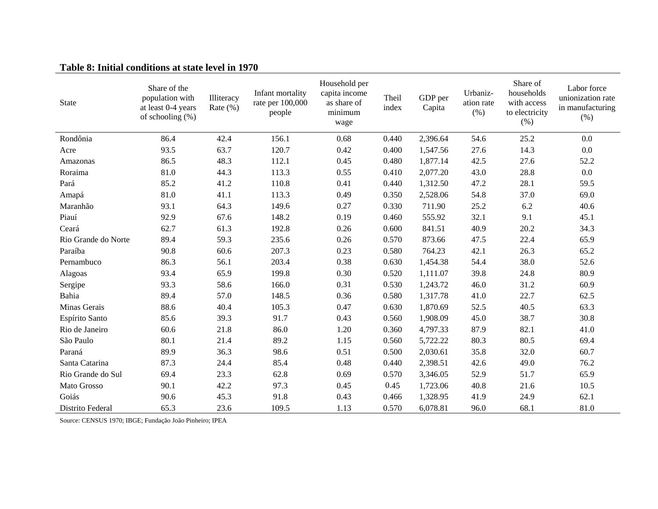#### **Table 8: Initial conditions at state level in 1970**

| <b>State</b>        | Share of the<br>population with<br>at least 0-4 years<br>of schooling (%) | Illiteracy<br>Rate $(\% )$ | Infant mortality<br>rate per 100,000<br>people | Household per<br>capita income<br>as share of<br>minimum<br>wage | Theil<br>index | GDP per<br>Capita | Urbaniz-<br>ation rate<br>(% ) | Share of<br>households<br>with access<br>to electricity<br>(% ) | Labor force<br>unionization rate<br>in manufacturing<br>(% ) |
|---------------------|---------------------------------------------------------------------------|----------------------------|------------------------------------------------|------------------------------------------------------------------|----------------|-------------------|--------------------------------|-----------------------------------------------------------------|--------------------------------------------------------------|
| Rondônia            | 86.4                                                                      | 42.4                       | 156.1                                          | 0.68                                                             | 0.440          | 2,396.64          | 54.6                           | 25.2                                                            | 0.0                                                          |
| Acre                | 93.5                                                                      | 63.7                       | 120.7                                          | 0.42                                                             | 0.400          | 1,547.56          | 27.6                           | 14.3                                                            | 0.0                                                          |
| Amazonas            | 86.5                                                                      | 48.3                       | 112.1                                          | 0.45                                                             | 0.480          | 1,877.14          | 42.5                           | 27.6                                                            | 52.2                                                         |
| Roraima             | 81.0                                                                      | 44.3                       | 113.3                                          | 0.55                                                             | 0.410          | 2,077.20          | 43.0                           | 28.8                                                            | 0.0                                                          |
| Pará                | 85.2                                                                      | 41.2                       | 110.8                                          | 0.41                                                             | 0.440          | 1,312.50          | 47.2                           | 28.1                                                            | 59.5                                                         |
| Amapá               | 81.0                                                                      | 41.1                       | 113.3                                          | 0.49                                                             | 0.350          | 2,528.06          | 54.8                           | 37.0                                                            | 69.0                                                         |
| Maranhão            | 93.1                                                                      | 64.3                       | 149.6                                          | 0.27                                                             | 0.330          | 711.90            | 25.2                           | 6.2                                                             | 40.6                                                         |
| Piauí               | 92.9                                                                      | 67.6                       | 148.2                                          | 0.19                                                             | 0.460          | 555.92            | 32.1                           | 9.1                                                             | 45.1                                                         |
| Ceará               | 62.7                                                                      | 61.3                       | 192.8                                          | 0.26                                                             | 0.600          | 841.51            | 40.9                           | 20.2                                                            | 34.3                                                         |
| Rio Grande do Norte | 89.4                                                                      | 59.3                       | 235.6                                          | 0.26                                                             | 0.570          | 873.66            | 47.5                           | 22.4                                                            | 65.9                                                         |
| Paraíba             | 90.8                                                                      | 60.6                       | 207.3                                          | 0.23                                                             | 0.580          | 764.23            | 42.1                           | 26.3                                                            | 65.2                                                         |
| Pernambuco          | 86.3                                                                      | 56.1                       | 203.4                                          | 0.38                                                             | 0.630          | 1,454.38          | 54.4                           | 38.0                                                            | 52.6                                                         |
| Alagoas             | 93.4                                                                      | 65.9                       | 199.8                                          | 0.30                                                             | 0.520          | 1,111.07          | 39.8                           | 24.8                                                            | 80.9                                                         |
| Sergipe             | 93.3                                                                      | 58.6                       | 166.0                                          | 0.31                                                             | 0.530          | 1,243.72          | 46.0                           | 31.2                                                            | 60.9                                                         |
| Bahia               | 89.4                                                                      | 57.0                       | 148.5                                          | 0.36                                                             | 0.580          | 1,317.78          | 41.0                           | 22.7                                                            | 62.5                                                         |
| Minas Gerais        | 88.6                                                                      | 40.4                       | 105.3                                          | 0.47                                                             | 0.630          | 1,870.69          | 52.5                           | 40.5                                                            | 63.3                                                         |
| Espírito Santo      | 85.6                                                                      | 39.3                       | 91.7                                           | 0.43                                                             | 0.560          | 1,908.09          | 45.0                           | 38.7                                                            | 30.8                                                         |
| Rio de Janeiro      | 60.6                                                                      | 21.8                       | 86.0                                           | 1.20                                                             | 0.360          | 4,797.33          | 87.9                           | 82.1                                                            | 41.0                                                         |
| São Paulo           | 80.1                                                                      | 21.4                       | 89.2                                           | 1.15                                                             | 0.560          | 5,722.22          | 80.3                           | 80.5                                                            | 69.4                                                         |
| Paraná              | 89.9                                                                      | 36.3                       | 98.6                                           | 0.51                                                             | 0.500          | 2,030.61          | 35.8                           | 32.0                                                            | 60.7                                                         |
| Santa Catarina      | 87.3                                                                      | 24.4                       | 85.4                                           | 0.48                                                             | 0.440          | 2,398.51          | 42.6                           | 49.0                                                            | 76.2                                                         |
| Rio Grande do Sul   | 69.4                                                                      | 23.3                       | 62.8                                           | 0.69                                                             | 0.570          | 3,346.05          | 52.9                           | 51.7                                                            | 65.9                                                         |
| Mato Grosso         | 90.1                                                                      | 42.2                       | 97.3                                           | 0.45                                                             | 0.45           | 1,723.06          | 40.8                           | 21.6                                                            | 10.5                                                         |
| Goiás               | 90.6                                                                      | 45.3                       | 91.8                                           | 0.43                                                             | 0.466          | 1,328.95          | 41.9                           | 24.9                                                            | 62.1                                                         |
| Distrito Federal    | 65.3                                                                      | 23.6                       | 109.5                                          | 1.13                                                             | 0.570          | 6,078.81          | 96.0                           | 68.1                                                            | 81.0                                                         |

Source: CENSUS 1970; IBGE; Fundação João Pinheiro; IPEA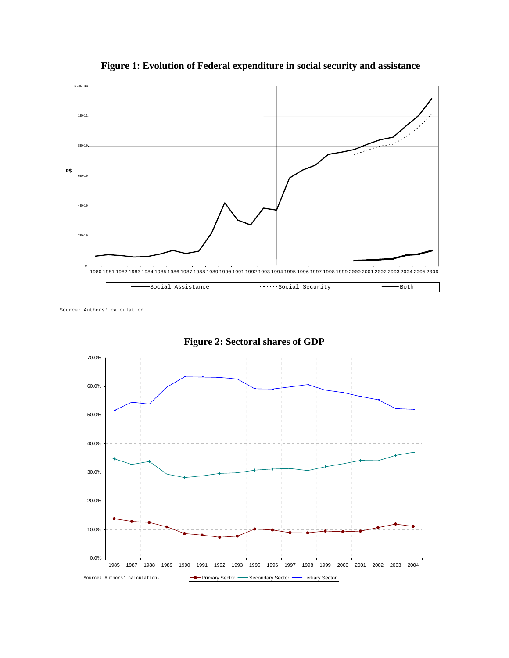

 **Figure 1: Evolution of Federal expenditure in social security and assistance**

Source: Authors' calculation.



**Figure 2: Sectoral shares of GDP**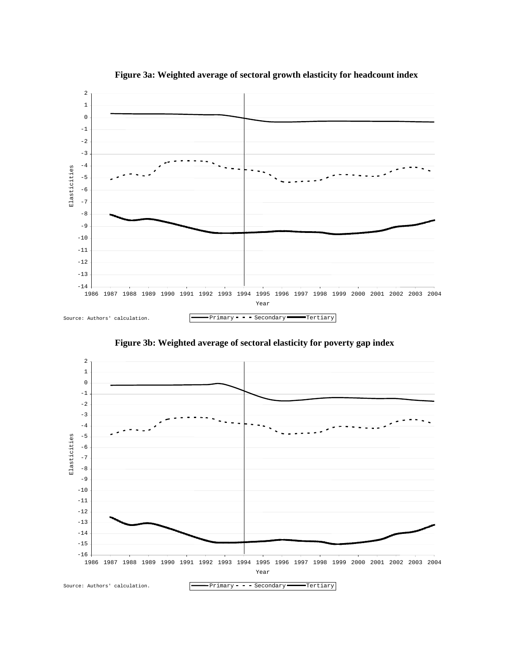

**Figure 3a: Weighted average of sectoral growth elasticity for headcount index** 

**Figure 3b: Weighted average of sectoral elasticity for poverty gap index** 

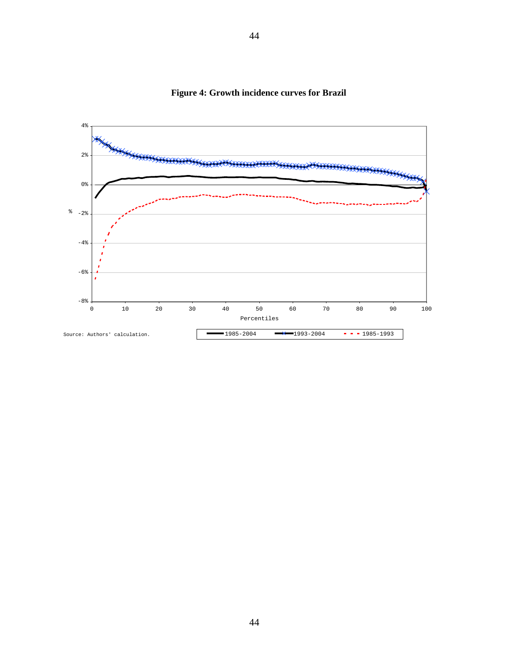

**Figure 4: Growth incidence curves for Brazil**